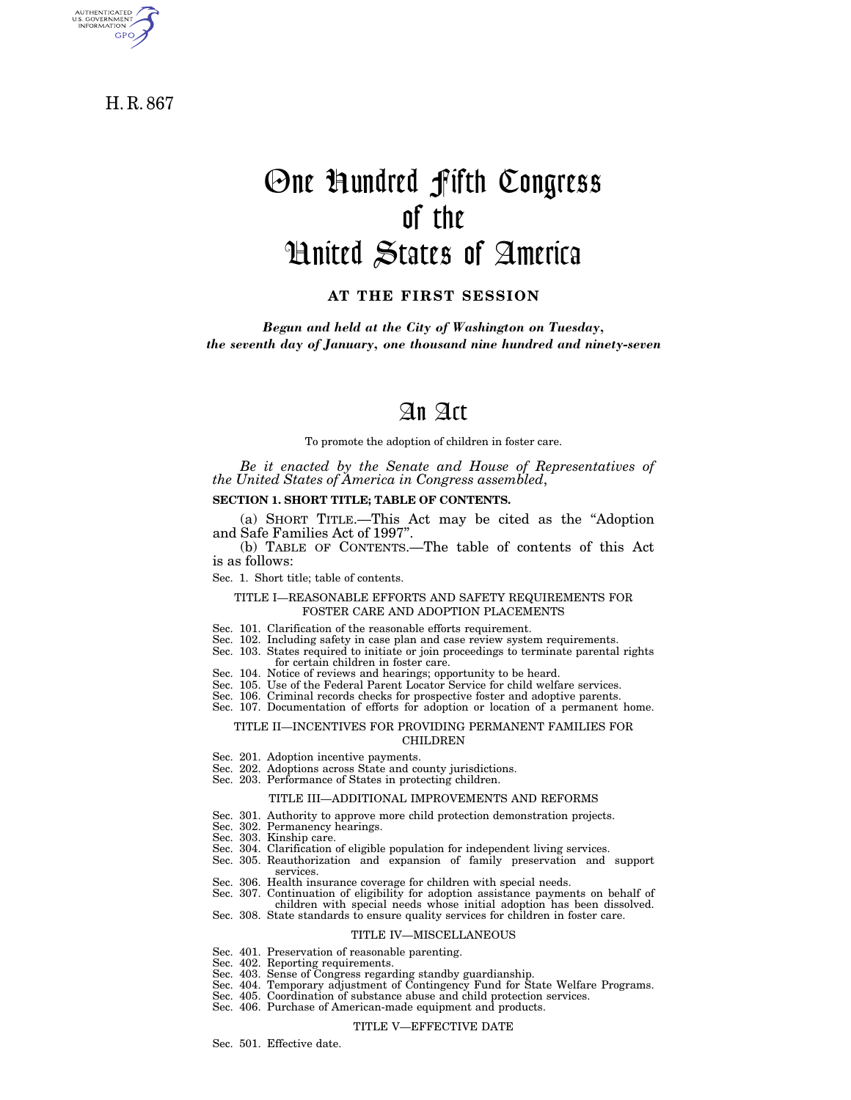H. R. 867

AUTHENTICATED<br>U.S. GOVERNMENT<br>INFORMATION GPO

# One Hundred Fifth Congress of the United States of America

**AT THE FIRST SESSION**

*Begun and held at the City of Washington on Tuesday, the seventh day of January, one thousand nine hundred and ninety-seven*

# An Act

To promote the adoption of children in foster care.

*Be it enacted by the Senate and House of Representatives of the United States of America in Congress assembled*,

# **SECTION 1. SHORT TITLE; TABLE OF CONTENTS.**

(a) SHORT TITLE.—This Act may be cited as the ''Adoption and Safe Families Act of 1997''.

(b) TABLE OF CONTENTS.—The table of contents of this Act is as follows:

Sec. 1. Short title; table of contents.

# TITLE I—REASONABLE EFFORTS AND SAFETY REQUIREMENTS FOR FOSTER CARE AND ADOPTION PLACEMENTS

- Sec. 101. Clarification of the reasonable efforts requirement.
- Sec. 102. Including safety in case plan and case review system requirements.
- Sec. 103. States required to initiate or join proceedings to terminate parental rights for certain children in foster care.
- Sec. 104. Notice of reviews and hearings; opportunity to be heard.
- Sec. 105. Use of the Federal Parent Locator Service for child welfare services.
- Sec. 106. Criminal records checks for prospective foster and adoptive parents.
- Sec. 107. Documentation of efforts for adoption or location of a permanent home.

#### TITLE II—INCENTIVES FOR PROVIDING PERMANENT FAMILIES FOR CHILDREN

- Sec. 201. Adoption incentive payments.
- Sec. 202. Adoptions across State and county jurisdictions.
- Sec. 203. Performance of States in protecting children.
	-

#### TITLE III—ADDITIONAL IMPROVEMENTS AND REFORMS

- Sec. 301. Authority to approve more child protection demonstration projects.
- Sec. 302. Permanency hearings.
- Sec. 303. Kinship care.
- Sec. 304. Clarification of eligible population for independent living services.
- Sec. 305. Reauthorization and expansion of family preservation and support services.
- Sec. 306. Health insurance coverage for children with special needs.
- Sec. 307. Continuation of eligibility for adoption assistance payments on behalf of children with special needs whose initial adoption has been dissolved. Sec. 308. State standards to ensure quality services for children in foster care.

#### TITLE IV—MISCELLANEOUS

- Sec. 401. Preservation of reasonable parenting.
- Sec. 402. Reporting requirements.
- Sec. 403. Sense of Congress regarding standby guardianship.
- Sec. 404. Temporary adjustment of Contingency Fund for State Welfare Programs.
- Sec. 405. Coordination of substance abuse and child protection services.
- Sec. 406. Purchase of American-made equipment and products.

#### TITLE V—EFFECTIVE DATE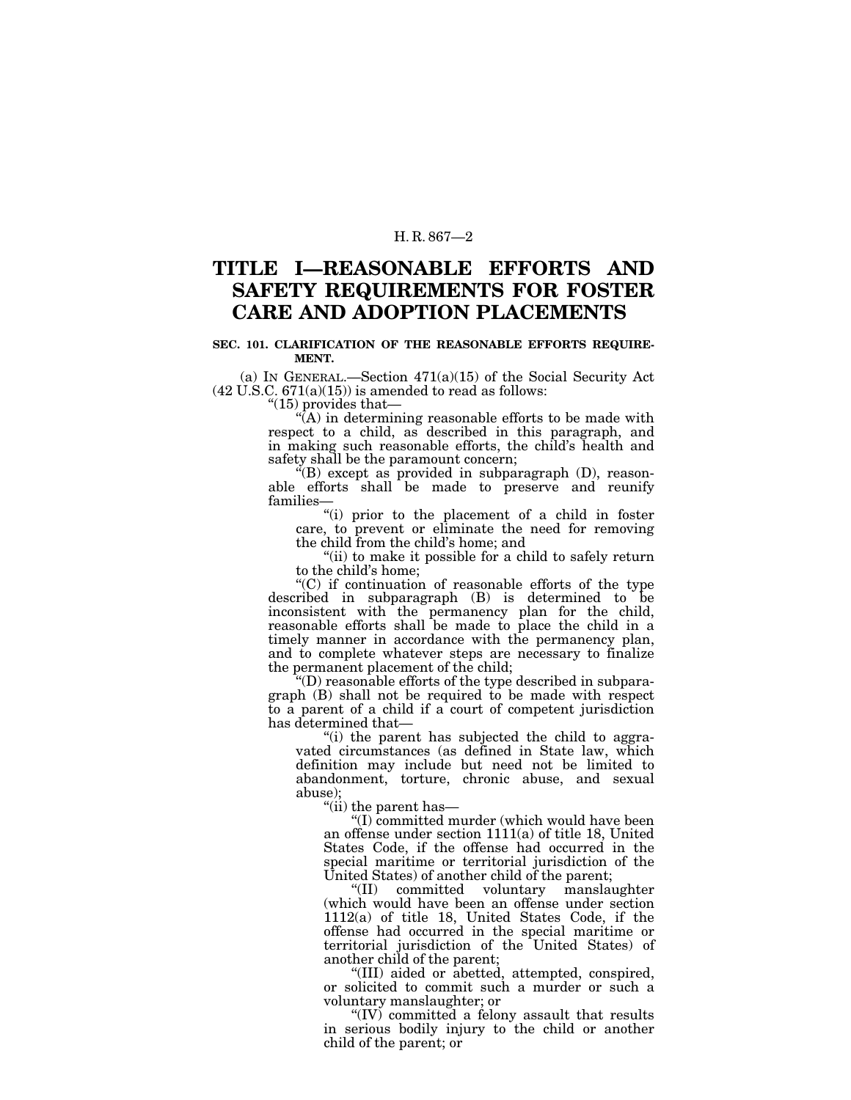# **TITLE I—REASONABLE EFFORTS AND SAFETY REQUIREMENTS FOR FOSTER CARE AND ADOPTION PLACEMENTS**

# **SEC. 101. CLARIFICATION OF THE REASONABLE EFFORTS REQUIRE-MENT.**

(a) IN GENERAL.—Section  $471(a)(15)$  of the Social Security Act  $(42 \text{ U.S.C. } 671(a)(15))$  is amended to read as follows:

''(15) provides that—

 $\hat{A}$ ) in determining reasonable efforts to be made with respect to a child, as described in this paragraph, and in making such reasonable efforts, the child's health and safety shall be the paramount concern;

''(B) except as provided in subparagraph (D), reasonable efforts shall be made to preserve and reunify families—

"(i) prior to the placement of a child in foster care, to prevent or eliminate the need for removing the child from the child's home; and

"(ii) to make it possible for a child to safely return to the child's home;

''(C) if continuation of reasonable efforts of the type described in subparagraph  $(B)$  is determined to be inconsistent with the permanency plan for the child, reasonable efforts shall be made to place the child in a timely manner in accordance with the permanency plan, and to complete whatever steps are necessary to finalize the permanent placement of the child;

''(D) reasonable efforts of the type described in subparagraph (B) shall not be required to be made with respect to a parent of a child if a court of competent jurisdiction has determined that—

''(i) the parent has subjected the child to aggravated circumstances (as defined in State law, which definition may include but need not be limited to abandonment, torture, chronic abuse, and sexual abuse);

''(ii) the parent has—

''(I) committed murder (which would have been an offense under section 1111(a) of title 18, United States Code, if the offense had occurred in the special maritime or territorial jurisdiction of the United States) of another child of the parent;

''(II) committed voluntary manslaughter (which would have been an offense under section 1112(a) of title 18, United States Code, if the offense had occurred in the special maritime or territorial jurisdiction of the United States) of another child of the parent;

''(III) aided or abetted, attempted, conspired, or solicited to commit such a murder or such a voluntary manslaughter; or

''(IV) committed a felony assault that results in serious bodily injury to the child or another child of the parent; or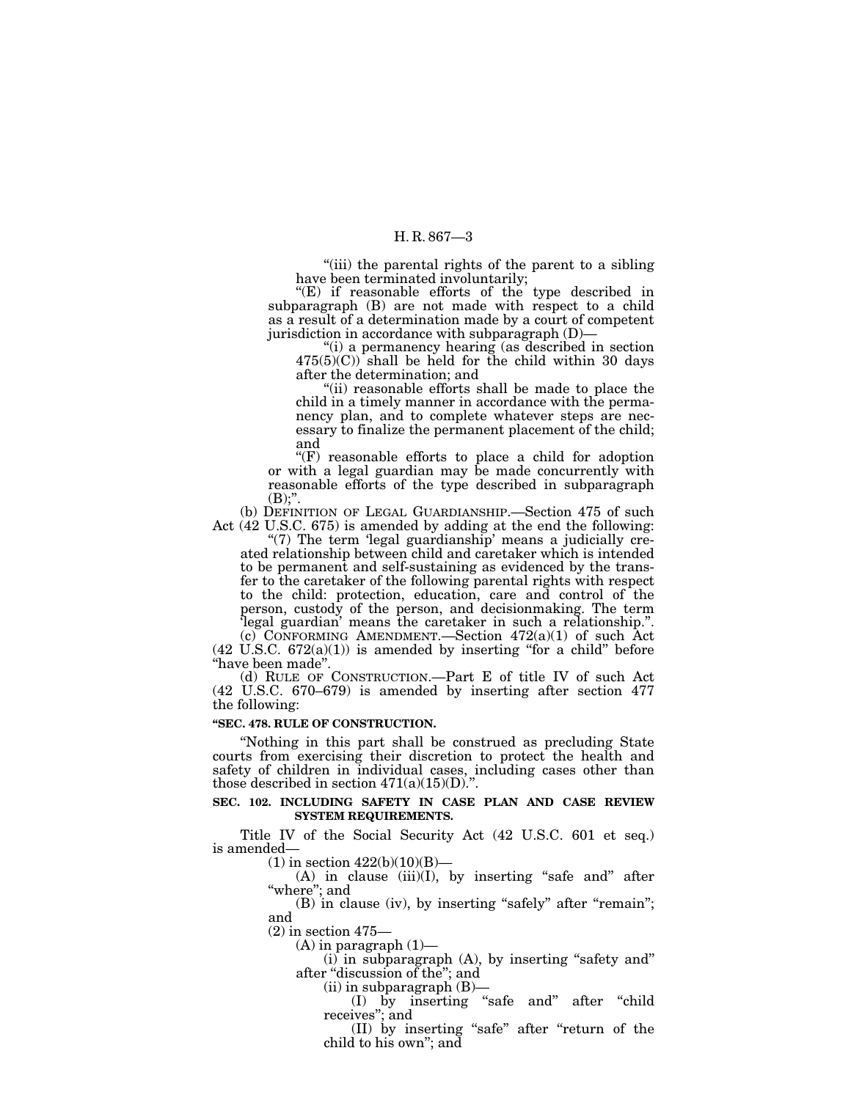''(iii) the parental rights of the parent to a sibling have been terminated involuntarily;

''(E) if reasonable efforts of the type described in subparagraph (B) are not made with respect to a child as a result of a determination made by a court of competent jurisdiction in accordance with subparagraph (D)—

''(i) a permanency hearing (as described in section  $475(5)(C)$  shall be held for the child within 30 days after the determination; and

''(ii) reasonable efforts shall be made to place the child in a timely manner in accordance with the permanency plan, and to complete whatever steps are necessary to finalize the permanent placement of the child; and

" $(F)$  reasonable efforts to place a child for adoption or with a legal guardian may be made concurrently with reasonable efforts of the type described in subparagraph  $(B)$ ;".

(b) DEFINITION OF LEGAL GUARDIANSHIP.—Section 475 of such Act (42 U.S.C. 675) is amended by adding at the end the following:

"(7) The term 'legal guardianship' means a judicially created relationship between child and caretaker which is intended to be permanent and self-sustaining as evidenced by the transfer to the caretaker of the following parental rights with respect to the child: protection, education, care and control of the person, custody of the person, and decisionmaking. The term 'legal guardian' means the caretaker in such a relationship.''. (c) CONFORMING AMENDMENT.—Section  $472(a)(1)$  of such Act

 $(42 \text{ U.S.C. } 672(a)(1))$  is amended by inserting "for a child" before ''have been made''.

(d) RULE OF CONSTRUCTION.—Part E of title IV of such Act (42 U.S.C. 670–679) is amended by inserting after section 477 the following:

# **''SEC. 478. RULE OF CONSTRUCTION.**

''Nothing in this part shall be construed as precluding State courts from exercising their discretion to protect the health and safety of children in individual cases, including cases other than those described in section  $471(a)(15)(D)$ .".

# **SEC. 102. INCLUDING SAFETY IN CASE PLAN AND CASE REVIEW SYSTEM REQUIREMENTS.**

Title IV of the Social Security Act (42 U.S.C. 601 et seq.) is amended—

 $(1)$  in section  $422(b)(10)(B)$ —

 $(A)$  in clause  $(iii)(I)$ , by inserting "safe and" after "where"; and

(B) in clause (iv), by inserting "safely" after "remain"; and

(2) in section 475—

 $(A)$  in paragraph  $(1)$ —

 $(i)$  in subparagraph  $(A)$ , by inserting "safety and" after "discussion of the"; and

 $(ii)$  in subparagraph  $(B)$ —

(I) by inserting "safe and" after "child" receives''; and

(II) by inserting ''safe'' after ''return of the child to his own''; and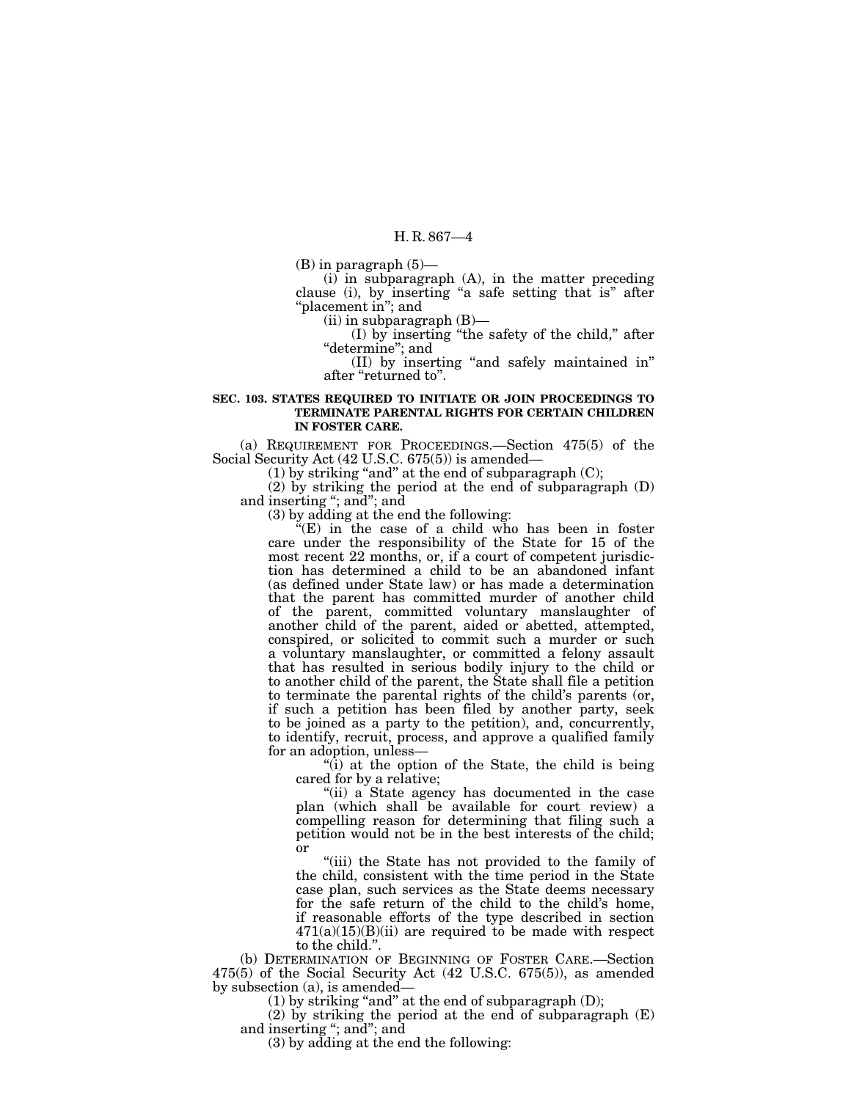(B) in paragraph (5)—

(i) in subparagraph (A), in the matter preceding clause (i), by inserting ''a safe setting that is'' after ''placement in''; and

(ii) in subparagraph (B)—

(I) by inserting ''the safety of the child,'' after "determine"; and

(II) by inserting ''and safely maintained in'' after ''returned to''.

#### **SEC. 103. STATES REQUIRED TO INITIATE OR JOIN PROCEEDINGS TO TERMINATE PARENTAL RIGHTS FOR CERTAIN CHILDREN IN FOSTER CARE.**

(a) REQUIREMENT FOR PROCEEDINGS.—Section 475(5) of the Social Security Act (42 U.S.C. 675(5)) is amended—

 $(1)$  by striking "and" at the end of subparagraph  $(C)$ ;

(2) by striking the period at the end of subparagraph (D) and inserting ''; and''; and

(3) by adding at the end the following:

"(E) in the case of a child who has been in foster care under the responsibility of the State for 15 of the most recent 22 months, or, if a court of competent jurisdiction has determined a child to be an abandoned infant (as defined under State law) or has made a determination that the parent has committed murder of another child of the parent, committed voluntary manslaughter of another child of the parent, aided or abetted, attempted, conspired, or solicited to commit such a murder or such a voluntary manslaughter, or committed a felony assault that has resulted in serious bodily injury to the child or to another child of the parent, the State shall file a petition to terminate the parental rights of the child's parents (or, if such a petition has been filed by another party, seek to be joined as a party to the petition), and, concurrently, to identify, recruit, process, and approve a qualified family for an adoption, unless—

''(i) at the option of the State, the child is being cared for by a relative;

''(ii) a State agency has documented in the case plan (which shall be available for court review) a compelling reason for determining that filing such a petition would not be in the best interests of the child; or

''(iii) the State has not provided to the family of the child, consistent with the time period in the State case plan, such services as the State deems necessary for the safe return of the child to the child's home, if reasonable efforts of the type described in section  $471(a)(15)(B)(ii)$  are required to be made with respect to the child.'

(b) DETERMINATION OF BEGINNING OF FOSTER CARE.—Section 475(5) of the Social Security Act (42 U.S.C. 675(5)), as amended by subsection (a), is amended—

 $(1)$  by striking "and" at the end of subparagraph  $(D)$ ;

(2) by striking the period at the end of subparagraph (E) and inserting ''; and''; and

(3) by adding at the end the following: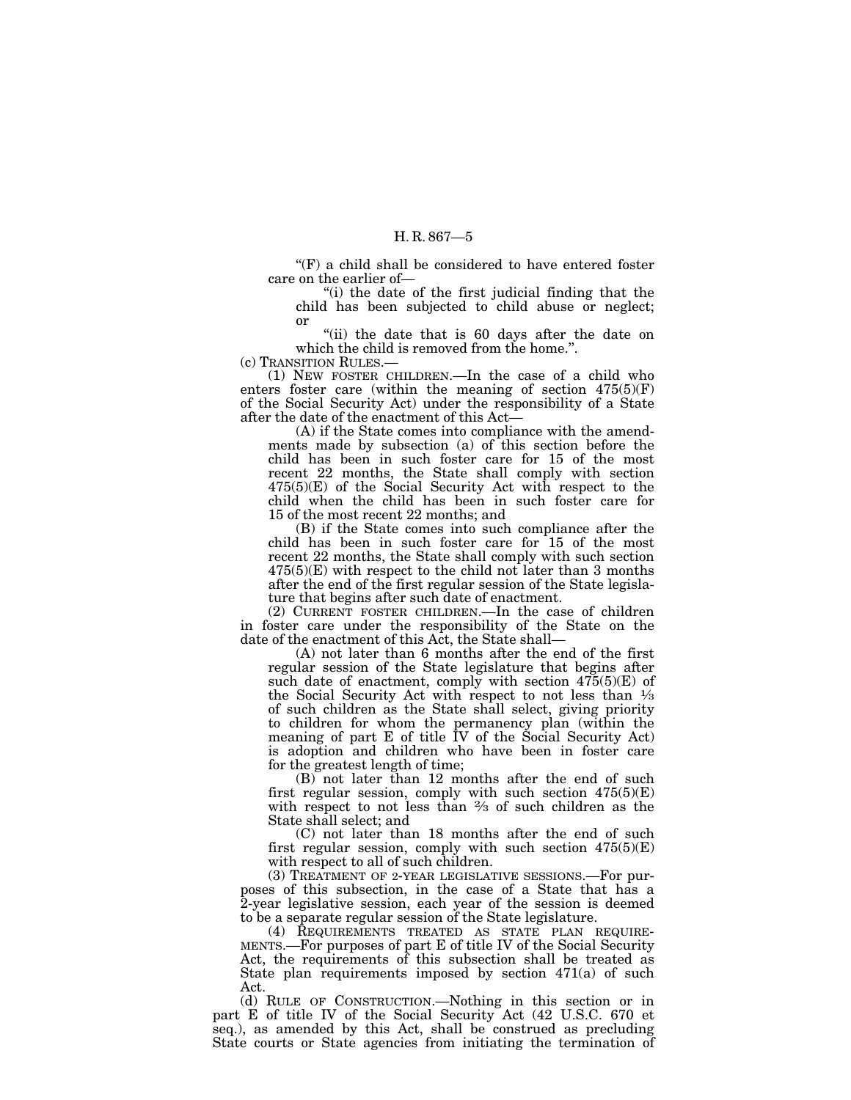$f(F)$  a child shall be considered to have entered foster care on the earlier of—

''(i) the date of the first judicial finding that the child has been subjected to child abuse or neglect; or

''(ii) the date that is 60 days after the date on which the child is removed from the home.".

(c) TRANSITION RULES.—

(1) NEW FOSTER CHILDREN.—In the case of a child who enters foster care (within the meaning of section 475(5)(F) of the Social Security Act) under the responsibility of a State after the date of the enactment of this Act—

(A) if the State comes into compliance with the amendments made by subsection (a) of this section before the child has been in such foster care for 15 of the most recent 22 months, the State shall comply with section 475(5)(E) of the Social Security Act with respect to the child when the child has been in such foster care for 15 of the most recent 22 months; and

(B) if the State comes into such compliance after the child has been in such foster care for 15 of the most recent 22 months, the State shall comply with such section 475(5)(E) with respect to the child not later than 3 months after the end of the first regular session of the State legislature that begins after such date of enactment.

(2) CURRENT FOSTER CHILDREN.—In the case of children in foster care under the responsibility of the State on the date of the enactment of this Act, the State shall—

(A) not later than 6 months after the end of the first regular session of the State legislature that begins after such date of enactment, comply with section 475(5)(E) of the Social Security Act with respect to not less than 1⁄3 of such children as the State shall select, giving priority to children for whom the permanency plan (within the meaning of part E of title IV of the Social Security Act) is adoption and children who have been in foster care for the greatest length of time;

(B) not later than 12 months after the end of such first regular session, comply with such section  $475(5)(E)$ with respect to not less than 2⁄3 of such children as the State shall select; and

(C) not later than 18 months after the end of such first regular session, comply with such section  $475(5)(E)$ with respect to all of such children.

(3) TREATMENT OF 2-YEAR LEGISLATIVE SESSIONS.—For purposes of this subsection, in the case of a State that has a 2-year legislative session, each year of the session is deemed to be a separate regular session of the State legislature.

(4) REQUIREMENTS TREATED AS STATE PLAN REQUIRE-MENTS.—For purposes of part E of title IV of the Social Security Act, the requirements of this subsection shall be treated as State plan requirements imposed by section 471(a) of such Act.

(d) RULE OF CONSTRUCTION.—Nothing in this section or in part E of title IV of the Social Security Act (42 U.S.C. 670 et seq.), as amended by this Act, shall be construed as precluding State courts or State agencies from initiating the termination of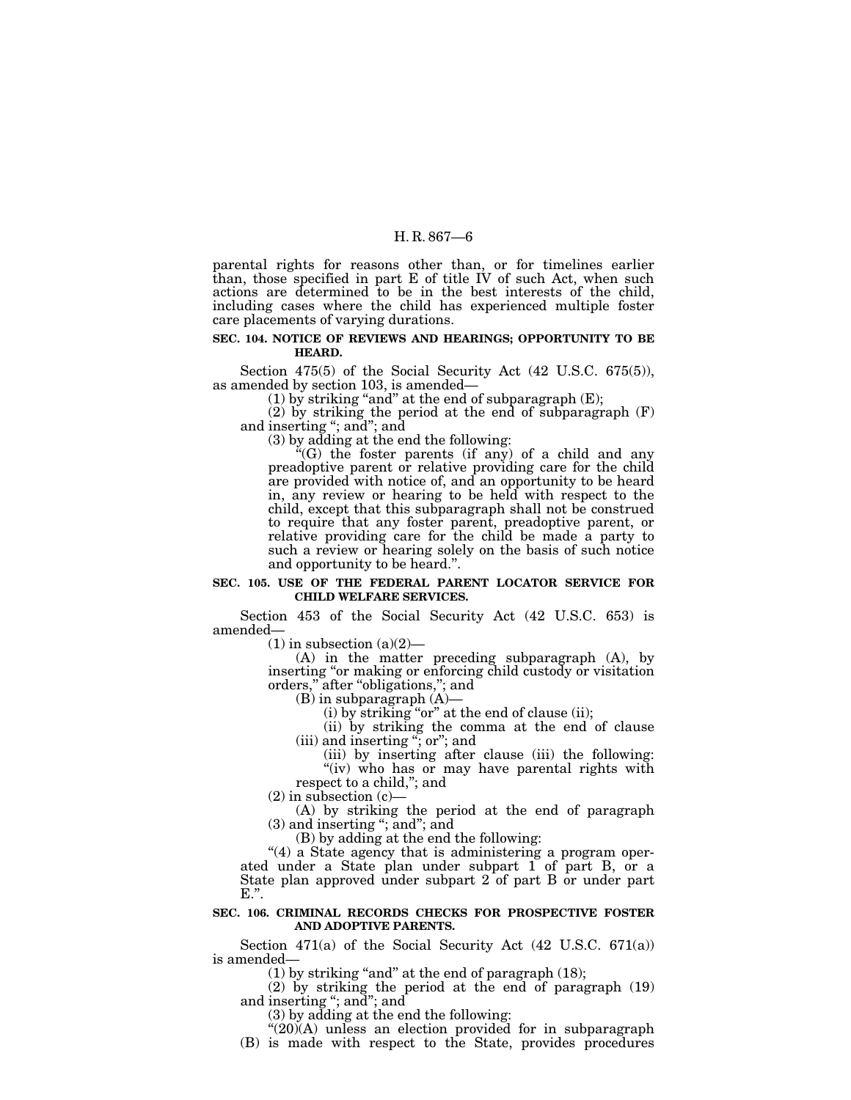parental rights for reasons other than, or for timelines earlier than, those specified in part E of title IV of such Act, when such actions are determined to be in the best interests of the child, including cases where the child has experienced multiple foster care placements of varying durations.

# **SEC. 104. NOTICE OF REVIEWS AND HEARINGS; OPPORTUNITY TO BE HEARD.**

Section 475(5) of the Social Security Act (42 U.S.C. 675(5)), as amended by section 103, is amended—

(1) by striking "and" at the end of subparagraph  $(E)$ ;

(2) by striking the period at the end of subparagraph (F) and inserting ''; and''; and

(3) by adding at the end the following:

''(G) the foster parents (if any) of a child and any preadoptive parent or relative providing care for the child are provided with notice of, and an opportunity to be heard in, any review or hearing to be held with respect to the child, except that this subparagraph shall not be construed to require that any foster parent, preadoptive parent, or relative providing care for the child be made a party to such a review or hearing solely on the basis of such notice and opportunity to be heard.''.

### **SEC. 105. USE OF THE FEDERAL PARENT LOCATOR SERVICE FOR CHILD WELFARE SERVICES.**

Section 453 of the Social Security Act (42 U.S.C. 653) is amended—

 $(1)$  in subsection  $(a)(2)$ —

(A) in the matter preceding subparagraph (A), by inserting "or making or enforcing child custody or visitation orders,'' after ''obligations,''; and

(B) in subparagraph (A)—

 $(i)$  by striking "or" at the end of clause  $(ii)$ ;

(ii) by striking the comma at the end of clause (iii) and inserting ''; or''; and

(iii) by inserting after clause (iii) the following:

"(iv) who has or may have parental rights with

respect to a child,''; and

 $(2)$  in subsection  $(c)$ –

(A) by striking the period at the end of paragraph (3) and inserting ''; and''; and

(B) by adding at the end the following:

" $(4)$  a State agency that is administering a program operated under a State plan under subpart 1 of part B, or a State plan approved under subpart 2 of part B or under part E.''.

#### **SEC. 106. CRIMINAL RECORDS CHECKS FOR PROSPECTIVE FOSTER AND ADOPTIVE PARENTS.**

Section 471(a) of the Social Security Act  $(42 \text{ U.S.C. } 671(a))$ is amended—

(1) by striking ''and'' at the end of paragraph (18);

(2) by striking the period at the end of paragraph (19) and inserting "; and"; and

(3) by adding at the end the following:

 $\degree$ (20)(A) unless an election provided for in subparagraph (B) is made with respect to the State, provides procedures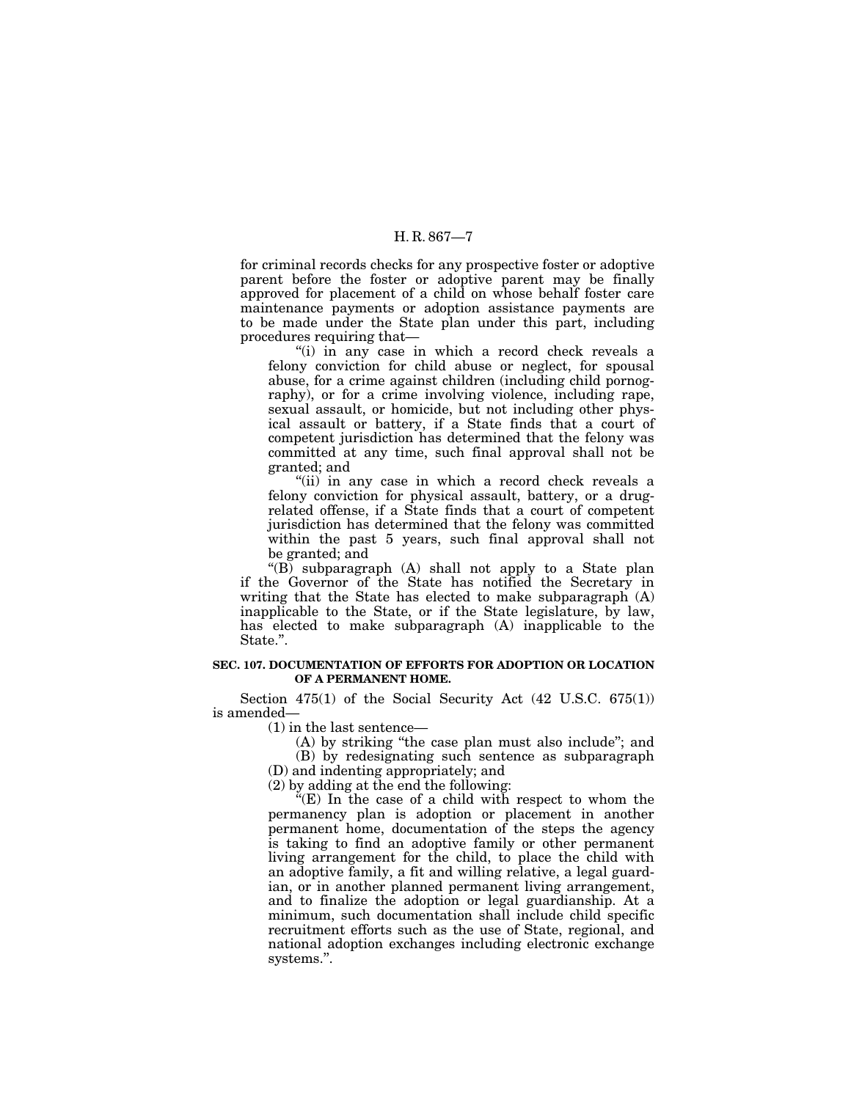for criminal records checks for any prospective foster or adoptive parent before the foster or adoptive parent may be finally approved for placement of a child on whose behalf foster care maintenance payments or adoption assistance payments are to be made under the State plan under this part, including procedures requiring that—

"(i) in any case in which a record check reveals a felony conviction for child abuse or neglect, for spousal abuse, for a crime against children (including child pornography), or for a crime involving violence, including rape, sexual assault, or homicide, but not including other physical assault or battery, if a State finds that a court of competent jurisdiction has determined that the felony was committed at any time, such final approval shall not be granted; and

"(ii) in any case in which a record check reveals a felony conviction for physical assault, battery, or a drugrelated offense, if a State finds that a court of competent jurisdiction has determined that the felony was committed within the past 5 years, such final approval shall not be granted; and

''(B) subparagraph (A) shall not apply to a State plan if the Governor of the State has notified the Secretary in writing that the State has elected to make subparagraph (A) inapplicable to the State, or if the State legislature, by law, has elected to make subparagraph (A) inapplicable to the State.''.

# **SEC. 107. DOCUMENTATION OF EFFORTS FOR ADOPTION OR LOCATION OF A PERMANENT HOME.**

Section  $475(1)$  of the Social Security Act  $(42 \text{ U.S.C. } 675(1))$ is amended—

(1) in the last sentence—

(A) by striking ''the case plan must also include''; and (B) by redesignating such sentence as subparagraph

(D) and indenting appropriately; and (2) by adding at the end the following:

 $E(E)$  In the case of a child with respect to whom the permanency plan is adoption or placement in another permanent home, documentation of the steps the agency is taking to find an adoptive family or other permanent living arrangement for the child, to place the child with an adoptive family, a fit and willing relative, a legal guardian, or in another planned permanent living arrangement, and to finalize the adoption or legal guardianship. At a minimum, such documentation shall include child specific recruitment efforts such as the use of State, regional, and national adoption exchanges including electronic exchange systems.''.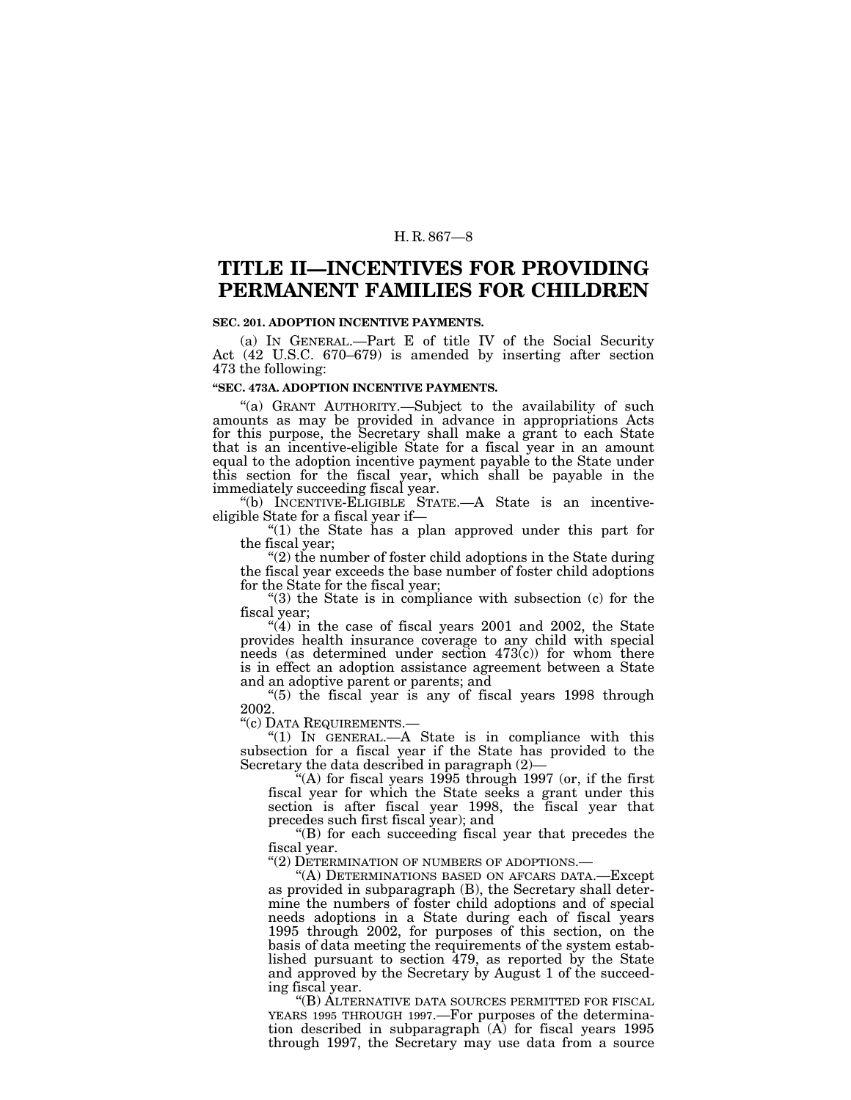# **TITLE II—INCENTIVES FOR PROVIDING PERMANENT FAMILIES FOR CHILDREN**

# **SEC. 201. ADOPTION INCENTIVE PAYMENTS.**

(a) IN GENERAL.—Part E of title IV of the Social Security Act (42 U.S.C. 670–679) is amended by inserting after section 473 the following:

#### **''SEC. 473A. ADOPTION INCENTIVE PAYMENTS.**

"(a) GRANT AUTHORITY.—Subject to the availability of such amounts as may be provided in advance in appropriations Acts for this purpose, the Secretary shall make a grant to each State that is an incentive-eligible State for a fiscal year in an amount equal to the adoption incentive payment payable to the State under this section for the fiscal year, which shall be payable in the immediately succeeding fiscal year.

''(b) INCENTIVE-ELIGIBLE STATE.—A State is an incentiveeligible State for a fiscal year if—

"(1) the State has a plan approved under this part for the fiscal year;

''(2) the number of foster child adoptions in the State during the fiscal year exceeds the base number of foster child adoptions for the State for the fiscal year;

''(3) the State is in compliance with subsection (c) for the fiscal year;

 $(4)$  in the case of fiscal years 2001 and 2002, the State provides health insurance coverage to any child with special needs (as determined under section  $473(c)$ ) for whom there is in effect an adoption assistance agreement between a State and an adoptive parent or parents; and

''(5) the fiscal year is any of fiscal years 1998 through 2002.

''(c) DATA REQUIREMENTS.—

"(1) In GENERAL.—A State is in compliance with this subsection for a fiscal year if the State has provided to the Secretary the data described in paragraph (2)—

 $(A)$  for fiscal years 1995 through 1997 (or, if the first fiscal year for which the State seeks a grant under this section is after fiscal year 1998, the fiscal year that precedes such first fiscal year); and

''(B) for each succeeding fiscal year that precedes the fiscal year.<br>"(2) Determination of numbers of adoptions.—

" $(A)$  DETERMINATIONS BASED ON AFCARS DATA.—Except as provided in subparagraph (B), the Secretary shall determine the numbers of foster child adoptions and of special needs adoptions in a State during each of fiscal years 1995 through 2002, for purposes of this section, on the basis of data meeting the requirements of the system established pursuant to section 479, as reported by the State and approved by the Secretary by August 1 of the succeeding fiscal year.

''(B) ALTERNATIVE DATA SOURCES PERMITTED FOR FISCAL YEARS 1995 THROUGH 1997.—For purposes of the determination described in subparagraph  $(A)$  for fiscal years 1995 through 1997, the Secretary may use data from a source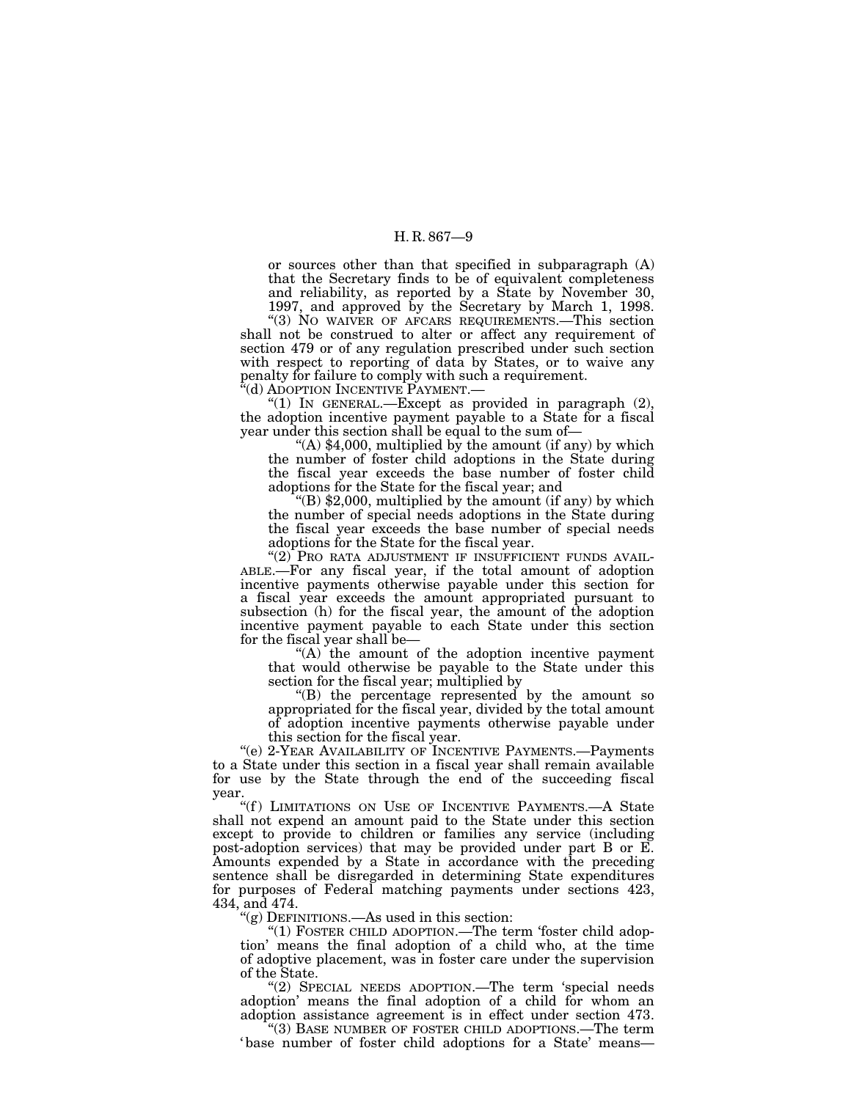or sources other than that specified in subparagraph (A) that the Secretary finds to be of equivalent completeness and reliability, as reported by a State by November 30, 1997, and approved by the Secretary by March 1, 1998.

''(3) NO WAIVER OF AFCARS REQUIREMENTS.—This section shall not be construed to alter or affect any requirement of section 479 or of any regulation prescribed under such section with respect to reporting of data by States, or to waive any penalty for failure to comply with such a requirement.

''(d) ADOPTION INCENTIVE PAYMENT.—

''(1) IN GENERAL.—Except as provided in paragraph (2), the adoption incentive payment payable to a State for a fiscal year under this section shall be equal to the sum of—

"(A)  $$4,000$ , multiplied by the amount (if any) by which the number of foster child adoptions in the State during the fiscal year exceeds the base number of foster child adoptions for the State for the fiscal year; and

"(B)  $$2,000$ , multiplied by the amount (if any) by which the number of special needs adoptions in the State during the fiscal year exceeds the base number of special needs adoptions for the State for the fiscal year.

"(2) PRO RATA ADJUSTMENT IF INSUFFICIENT FUNDS AVAIL-ABLE.—For any fiscal year, if the total amount of adoption incentive payments otherwise payable under this section for a fiscal year exceeds the amount appropriated pursuant to subsection (h) for the fiscal year, the amount of the adoption incentive payment payable to each State under this section for the fiscal year shall be—

''(A) the amount of the adoption incentive payment that would otherwise be payable to the State under this section for the fiscal year; multiplied by

''(B) the percentage represented by the amount so appropriated for the fiscal year, divided by the total amount of adoption incentive payments otherwise payable under this section for the fiscal year.

"(e) 2-YEAR AVAILABILITY OF INCENTIVE PAYMENTS.—Payments to a State under this section in a fiscal year shall remain available for use by the State through the end of the succeeding fiscal year.

"(f) LIMITATIONS ON USE OF INCENTIVE PAYMENTS.—A State shall not expend an amount paid to the State under this section except to provide to children or families any service (including post-adoption services) that may be provided under part B or E. Amounts expended by a State in accordance with the preceding sentence shall be disregarded in determining State expenditures for purposes of Federal matching payments under sections 423, 434, and 474.

" $(g)$  DEFINITIONS.—As used in this section:

''(1) FOSTER CHILD ADOPTION.—The term 'foster child adoption' means the final adoption of a child who, at the time of adoptive placement, was in foster care under the supervision of the State.

''(2) SPECIAL NEEDS ADOPTION.—The term 'special needs adoption' means the final adoption of a child for whom an adoption assistance agreement is in effect under section 473.

''(3) BASE NUMBER OF FOSTER CHILD ADOPTIONS.—The term ' base number of foster child adoptions for a State' means—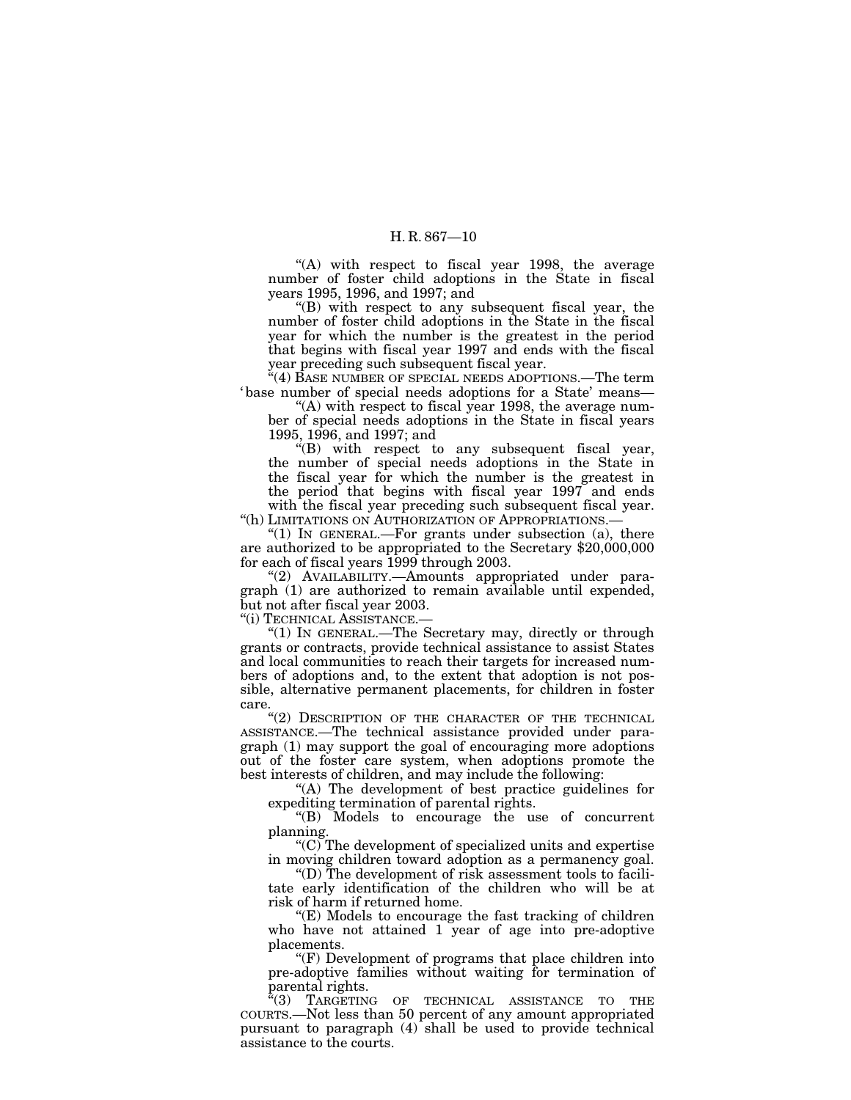"(A) with respect to fiscal year 1998, the average number of foster child adoptions in the State in fiscal years 1995, 1996, and 1997; and

 $'(B)$  with respect to any subsequent fiscal year, the number of foster child adoptions in the State in the fiscal year for which the number is the greatest in the period that begins with fiscal year 1997 and ends with the fiscal year preceding such subsequent fiscal year.

''(4) BASE NUMBER OF SPECIAL NEEDS ADOPTIONS.—The term ' base number of special needs adoptions for a State' means—

"(A) with respect to fiscal year 1998, the average number of special needs adoptions in the State in fiscal years 1995, 1996, and 1997; and

''(B) with respect to any subsequent fiscal year, the number of special needs adoptions in the State in the fiscal year for which the number is the greatest in the period that begins with fiscal year 1997 and ends with the fiscal year preceding such subsequent fiscal year.

''(h) LIMITATIONS ON AUTHORIZATION OF APPROPRIATIONS.—

" $(1)$  In GENERAL.—For grants under subsection  $(a)$ , there are authorized to be appropriated to the Secretary \$20,000,000 for each of fiscal years 1999 through 2003.

''(2) AVAILABILITY.—Amounts appropriated under paragraph (1) are authorized to remain available until expended, but not after fiscal year 2003.

''(i) TECHNICAL ASSISTANCE.—

''(1) IN GENERAL.—The Secretary may, directly or through grants or contracts, provide technical assistance to assist States and local communities to reach their targets for increased numbers of adoptions and, to the extent that adoption is not possible, alternative permanent placements, for children in foster care.

"(2) DESCRIPTION OF THE CHARACTER OF THE TECHNICAL ASSISTANCE.—The technical assistance provided under paragraph (1) may support the goal of encouraging more adoptions out of the foster care system, when adoptions promote the best interests of children, and may include the following:

"(A) The development of best practice guidelines for expediting termination of parental rights.

''(B) Models to encourage the use of concurrent planning.

''(C) The development of specialized units and expertise in moving children toward adoption as a permanency goal.

''(D) The development of risk assessment tools to facilitate early identification of the children who will be at risk of harm if returned home.

 $(E)$  Models to encourage the fast tracking of children who have not attained 1 year of age into pre-adoptive placements.

"(F) Development of programs that place children into pre-adoptive families without waiting for termination of parental rights.

"(3) TARGETING OF TECHNICAL ASSISTANCE TO THE COURTS.—Not less than 50 percent of any amount appropriated pursuant to paragraph (4) shall be used to provide technical assistance to the courts.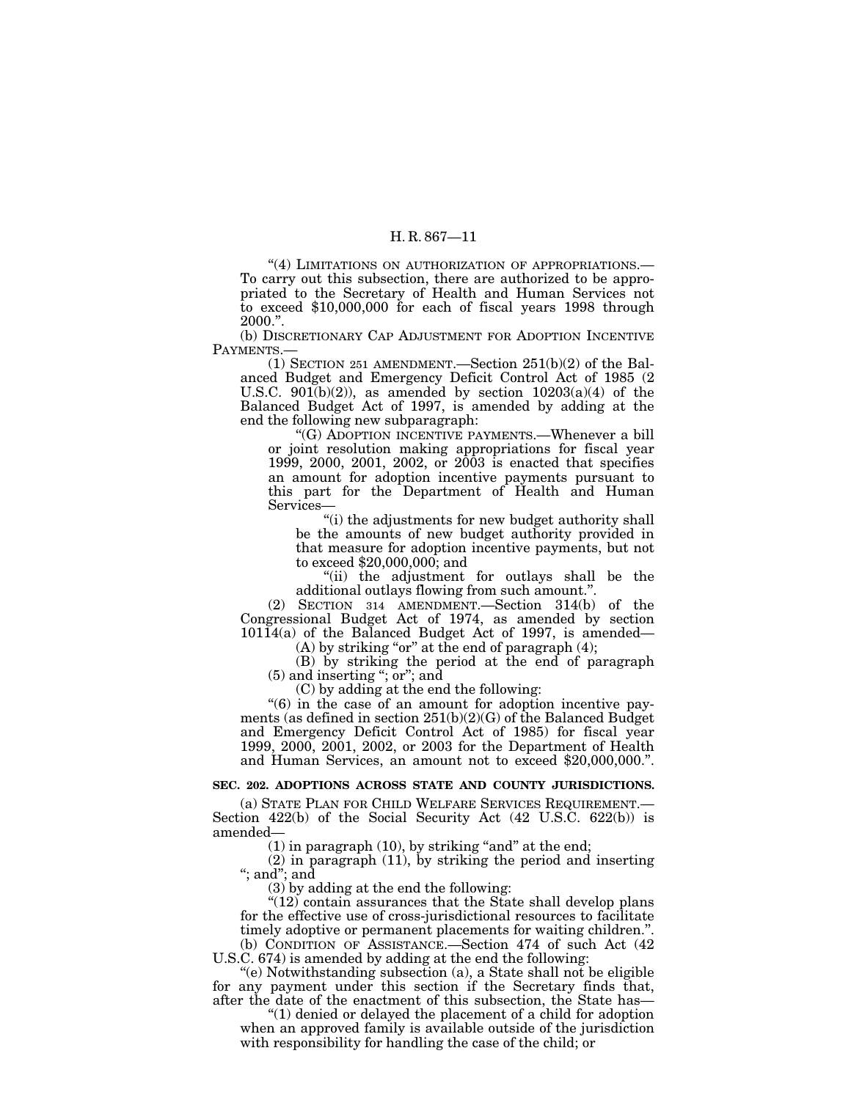"(4) LIMITATIONS ON AUTHORIZATION OF APPROPRIATIONS.-To carry out this subsection, there are authorized to be appropriated to the Secretary of Health and Human Services not to exceed \$10,000,000 for each of fiscal years 1998 through 2000.''.

(b) DISCRETIONARY CAP ADJUSTMENT FOR ADOPTION INCENTIVE PAYMENTS.—

(1) SECTION 251 AMENDMENT.—Section 251(b)(2) of the Balanced Budget and Emergency Deficit Control Act of 1985 (2 U.S.C. 901 $(b)(2)$ , as amended by section 10203 $(a)(4)$  of the Balanced Budget Act of 1997, is amended by adding at the end the following new subparagraph:

''(G) ADOPTION INCENTIVE PAYMENTS.—Whenever a bill or joint resolution making appropriations for fiscal year 1999, 2000, 2001, 2002, or 2003 is enacted that specifies an amount for adoption incentive payments pursuant to this part for the Department of Health and Human Services—

''(i) the adjustments for new budget authority shall be the amounts of new budget authority provided in that measure for adoption incentive payments, but not to exceed \$20,000,000; and

''(ii) the adjustment for outlays shall be the additional outlays flowing from such amount.''.

(2) SECTION 314 AMENDMENT.—Section 314(b) of the Congressional Budget Act of 1974, as amended by section 10114(a) of the Balanced Budget Act of 1997, is amended—

(A) by striking "or" at the end of paragraph  $(4)$ ;

(B) by striking the period at the end of paragraph (5) and inserting ''; or''; and

(C) by adding at the end the following:

''(6) in the case of an amount for adoption incentive payments (as defined in section 251(b)(2)(G) of the Balanced Budget and Emergency Deficit Control Act of 1985) for fiscal year 1999, 2000, 2001, 2002, or 2003 for the Department of Health and Human Services, an amount not to exceed \$20,000,000.''.

# **SEC. 202. ADOPTIONS ACROSS STATE AND COUNTY JURISDICTIONS.**

(a) STATE PLAN FOR CHILD WELFARE SERVICES REQUIREMENT.— Section 422(b) of the Social Security Act (42 U.S.C. 622(b)) is amended—

 $(1)$  in paragraph  $(10)$ , by striking "and" at the end;

(2) in paragraph (11), by striking the period and inserting ''; and''; and

(3) by adding at the end the following:

" $(12)$  contain assurances that the State shall develop plans for the effective use of cross-jurisdictional resources to facilitate timely adoptive or permanent placements for waiting children.''. (b) CONDITION OF ASSISTANCE.—Section 474 of such Act (42

U.S.C. 674) is amended by adding at the end the following:

''(e) Notwithstanding subsection (a), a State shall not be eligible for any payment under this section if the Secretary finds that, after the date of the enactment of this subsection, the State has—

''(1) denied or delayed the placement of a child for adoption when an approved family is available outside of the jurisdiction with responsibility for handling the case of the child; or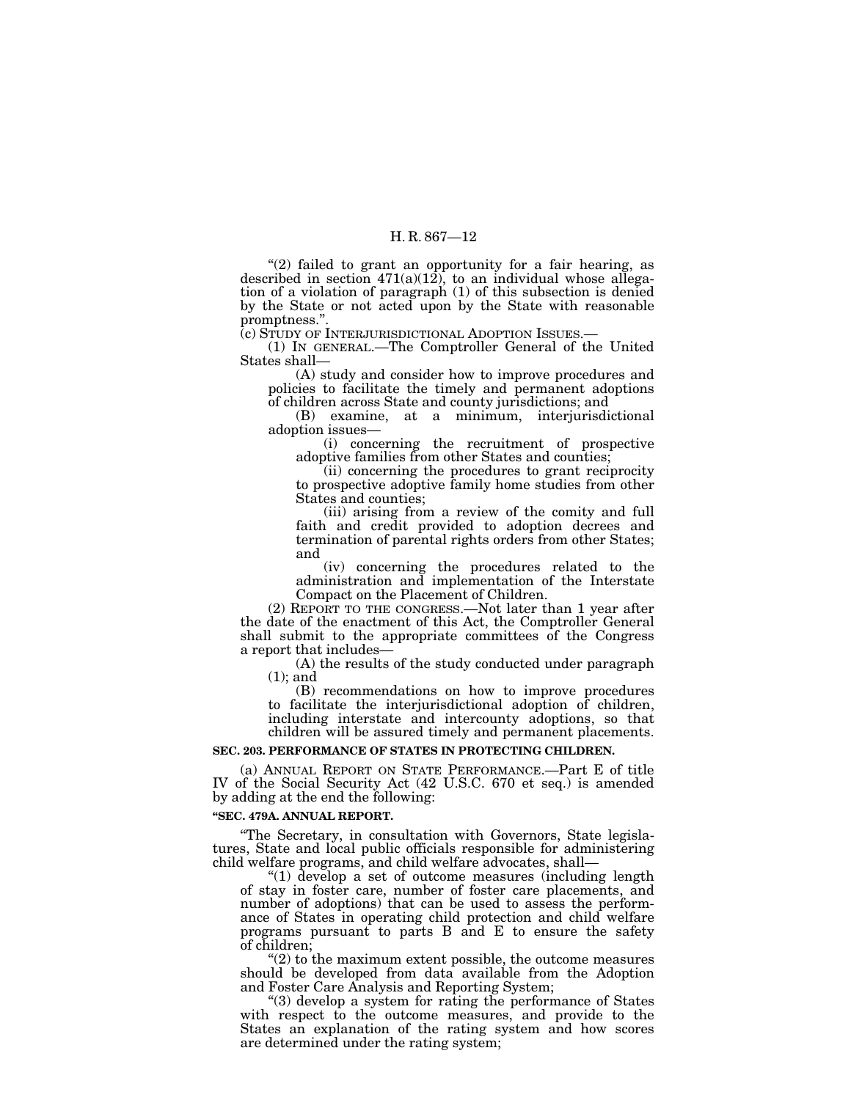"(2) failed to grant an opportunity for a fair hearing, as described in section  $471(a)(12)$ , to an individual whose allegation of a violation of paragraph (1) of this subsection is denied by the State or not acted upon by the State with reasonable promptness."

(c) STUDY OF INTERJURISDICTIONAL ADOPTION ISSUES.— (1) IN GENERAL.—The Comptroller General of the United States shall—

(A) study and consider how to improve procedures and policies to facilitate the timely and permanent adoptions of children across State and county jurisdictions; and

(B) examine, at a minimum, interjurisdictional adoption issues—

(i) concerning the recruitment of prospective adoptive families from other States and counties;

(ii) concerning the procedures to grant reciprocity to prospective adoptive family home studies from other States and counties;

(iii) arising from a review of the comity and full faith and credit provided to adoption decrees and termination of parental rights orders from other States; and

(iv) concerning the procedures related to the administration and implementation of the Interstate Compact on the Placement of Children.

(2) REPORT TO THE CONGRESS.—Not later than 1 year after the date of the enactment of this Act, the Comptroller General shall submit to the appropriate committees of the Congress a report that includes—

(A) the results of the study conducted under paragraph (1); and

(B) recommendations on how to improve procedures to facilitate the interjurisdictional adoption of children, including interstate and intercounty adoptions, so that children will be assured timely and permanent placements.

#### **SEC. 203. PERFORMANCE OF STATES IN PROTECTING CHILDREN.**

(a) ANNUAL REPORT ON STATE PERFORMANCE.—Part E of title IV of the Social Security Act (42 U.S.C. 670 et seq.) is amended by adding at the end the following:

#### **''SEC. 479A. ANNUAL REPORT.**

''The Secretary, in consultation with Governors, State legislatures, State and local public officials responsible for administering child welfare programs, and child welfare advocates, shall—

''(1) develop a set of outcome measures (including length of stay in foster care, number of foster care placements, and number of adoptions) that can be used to assess the performance of States in operating child protection and child welfare programs pursuant to parts B and E to ensure the safety of children;

 $(2)$  to the maximum extent possible, the outcome measures should be developed from data available from the Adoption and Foster Care Analysis and Reporting System;

''(3) develop a system for rating the performance of States with respect to the outcome measures, and provide to the States an explanation of the rating system and how scores are determined under the rating system;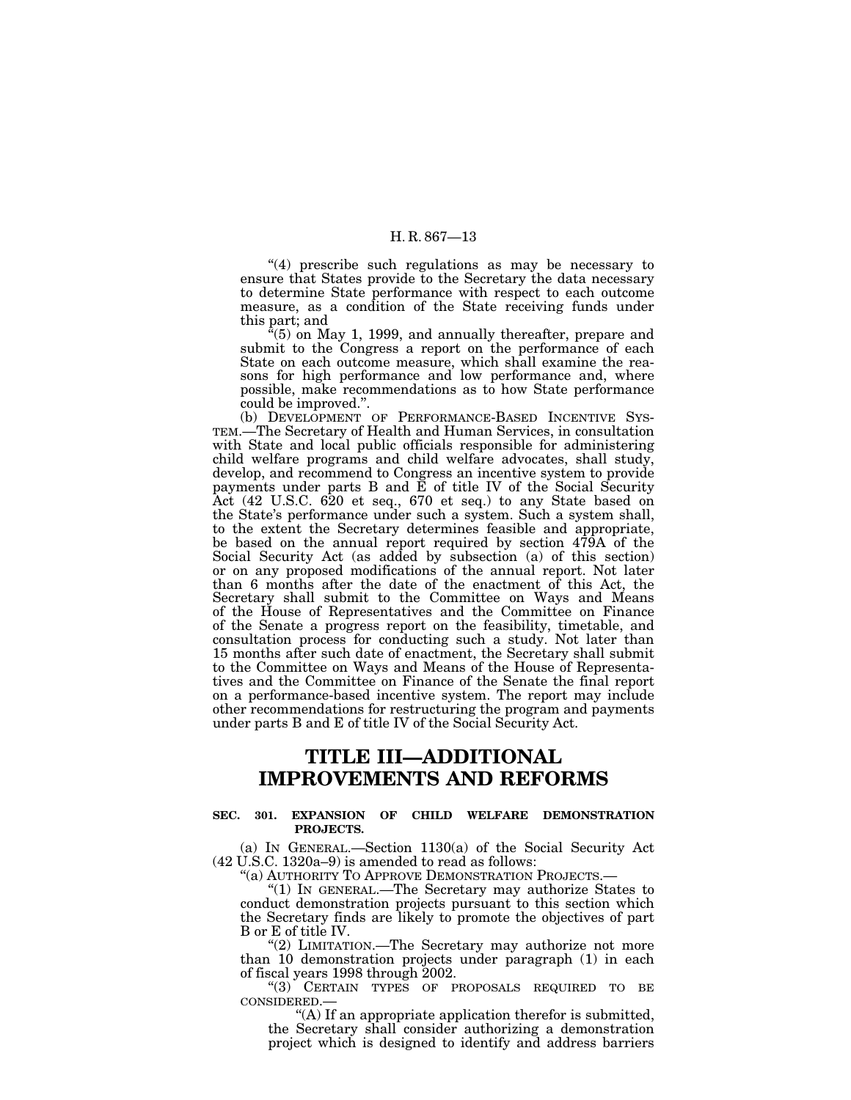"(4) prescribe such regulations as may be necessary to ensure that States provide to the Secretary the data necessary to determine State performance with respect to each outcome measure, as a condition of the State receiving funds under this part; and

 $\mathbb{F}(5)$  on May 1, 1999, and annually thereafter, prepare and submit to the Congress a report on the performance of each State on each outcome measure, which shall examine the reasons for high performance and low performance and, where possible, make recommendations as to how State performance could be improved.''.

(b) DEVELOPMENT OF PERFORMANCE-BASED INCENTIVE SYS-TEM.—The Secretary of Health and Human Services, in consultation with State and local public officials responsible for administering child welfare programs and child welfare advocates, shall study, develop, and recommend to Congress an incentive system to provide payments under parts B and E of title IV of the Social Security Act (42 U.S.C. 620 et seq., 670 et seq.) to any State based on the State's performance under such a system. Such a system shall, to the extent the Secretary determines feasible and appropriate, be based on the annual report required by section 479A of the Social Security Act (as added by subsection (a) of this section) or on any proposed modifications of the annual report. Not later than 6 months after the date of the enactment of this Act, the Secretary shall submit to the Committee on Ways and Means of the House of Representatives and the Committee on Finance of the Senate a progress report on the feasibility, timetable, and consultation process for conducting such a study. Not later than 15 months after such date of enactment, the Secretary shall submit to the Committee on Ways and Means of the House of Representatives and the Committee on Finance of the Senate the final report on a performance-based incentive system. The report may include other recommendations for restructuring the program and payments under parts B and E of title IV of the Social Security Act.

# **TITLE III—ADDITIONAL IMPROVEMENTS AND REFORMS**

# **SEC. 301. EXPANSION OF CHILD WELFARE DEMONSTRATION PROJECTS.**

(a) IN GENERAL.—Section 1130(a) of the Social Security Act (42 U.S.C. 1320a–9) is amended to read as follows:

''(a) AUTHORITY TO APPROVE DEMONSTRATION PROJECTS.—

''(1) IN GENERAL.—The Secretary may authorize States to conduct demonstration projects pursuant to this section which the Secretary finds are likely to promote the objectives of part B or E of title IV.

"(2) LIMITATION.—The Secretary may authorize not more than 10 demonstration projects under paragraph (1) in each of fiscal years 1998 through 2002.

''(3) CERTAIN TYPES OF PROPOSALS REQUIRED TO BE CONSIDERED.—

''(A) If an appropriate application therefor is submitted, the Secretary shall consider authorizing a demonstration project which is designed to identify and address barriers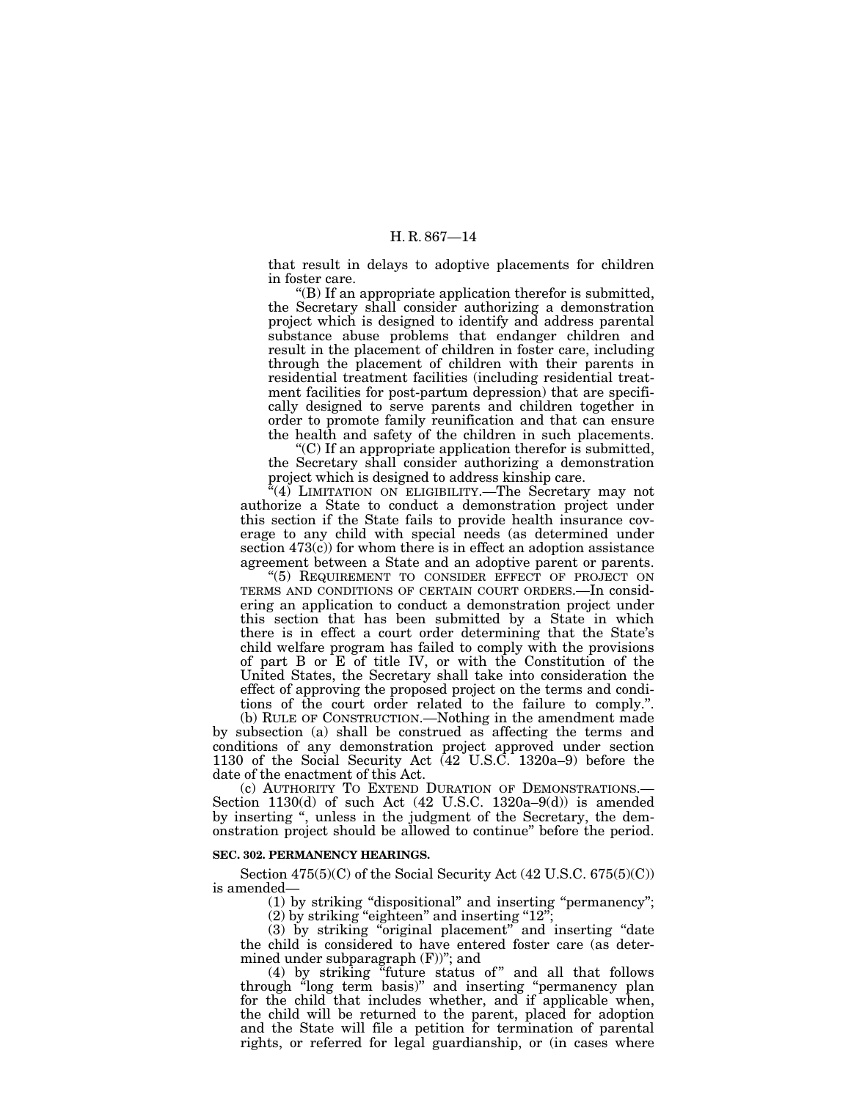that result in delays to adoptive placements for children in foster care.

''(B) If an appropriate application therefor is submitted, the Secretary shall consider authorizing a demonstration project which is designed to identify and address parental substance abuse problems that endanger children and result in the placement of children in foster care, including through the placement of children with their parents in residential treatment facilities (including residential treatment facilities for post-partum depression) that are specifically designed to serve parents and children together in order to promote family reunification and that can ensure the health and safety of the children in such placements.

 $C$ ) If an appropriate application therefor is submitted, the Secretary shall consider authorizing a demonstration project which is designed to address kinship care.

"(4) LIMITATION ON ELIGIBILITY.—The Secretary may not authorize a State to conduct a demonstration project under this section if the State fails to provide health insurance coverage to any child with special needs (as determined under section 473(c)) for whom there is in effect an adoption assistance agreement between a State and an adoptive parent or parents.

''(5) REQUIREMENT TO CONSIDER EFFECT OF PROJECT ON TERMS AND CONDITIONS OF CERTAIN COURT ORDERS.—In considering an application to conduct a demonstration project under this section that has been submitted by a State in which there is in effect a court order determining that the State's child welfare program has failed to comply with the provisions of part B or E of title IV, or with the Constitution of the United States, the Secretary shall take into consideration the effect of approving the proposed project on the terms and conditions of the court order related to the failure to comply.''.

(b) RULE OF CONSTRUCTION.—Nothing in the amendment made by subsection (a) shall be construed as affecting the terms and conditions of any demonstration project approved under section 1130 of the Social Security Act (42 U.S.C. 1320a–9) before the date of the enactment of this Act.

(c) AUTHORITY TO EXTEND DURATION OF DEMONSTRATIONS.— Section 1130(d) of such Act (42 U.S.C. 1320a–9(d)) is amended by inserting '', unless in the judgment of the Secretary, the demonstration project should be allowed to continue'' before the period.

### **SEC. 302. PERMANENCY HEARINGS.**

Section  $475(5)(C)$  of the Social Security Act  $(42 \text{ U.S.C. } 675(5)(C))$ is amended—

> (1) by striking ''dispositional'' and inserting ''permanency'';  $(2)$  by striking "eighteen" and inserting "12";

(3) by striking "original placement" and inserting "date the child is considered to have entered foster care (as determined under subparagraph (F))''; and

(4) by striking "future status of" and all that follows through ''long term basis)'' and inserting ''permanency plan for the child that includes whether, and if applicable when, the child will be returned to the parent, placed for adoption and the State will file a petition for termination of parental rights, or referred for legal guardianship, or (in cases where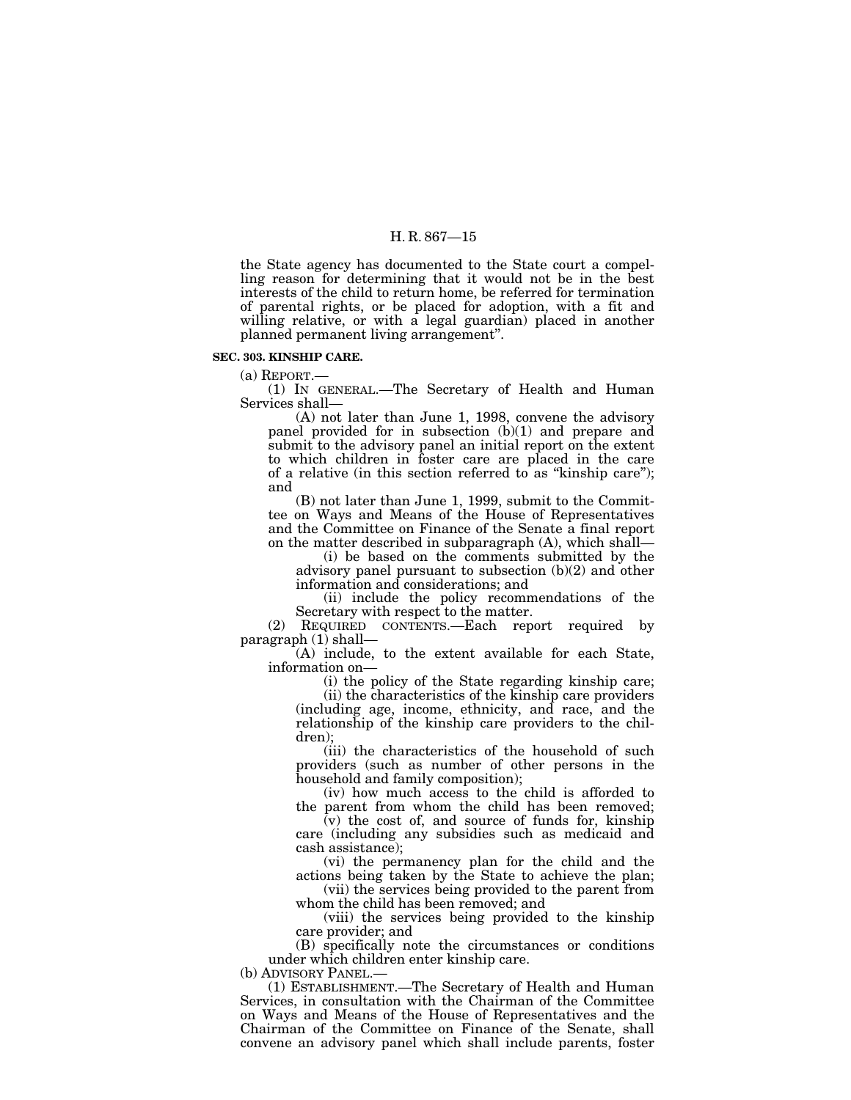the State agency has documented to the State court a compelling reason for determining that it would not be in the best interests of the child to return home, be referred for termination of parental rights, or be placed for adoption, with a fit and willing relative, or with a legal guardian) placed in another planned permanent living arrangement''.

### **SEC. 303. KINSHIP CARE.**

 $(a)$  REPORT —

(1) IN GENERAL.—The Secretary of Health and Human Services shall—

(A) not later than June 1, 1998, convene the advisory panel provided for in subsection (b)(1) and prepare and submit to the advisory panel an initial report on the extent to which children in foster care are placed in the care of a relative (in this section referred to as ''kinship care''); and

(B) not later than June 1, 1999, submit to the Committee on Ways and Means of the House of Representatives and the Committee on Finance of the Senate a final report on the matter described in subparagraph (A), which shall—

(i) be based on the comments submitted by the advisory panel pursuant to subsection (b)(2) and other information and considerations; and

(ii) include the policy recommendations of the Secretary with respect to the matter.

(2) REQUIRED CONTENTS.—Each report required by paragraph (1) shall—

(A) include, to the extent available for each State, information on—

(i) the policy of the State regarding kinship care;

(ii) the characteristics of the kinship care providers (including age, income, ethnicity, and race, and the relationship of the kinship care providers to the children);

(iii) the characteristics of the household of such providers (such as number of other persons in the household and family composition);

(iv) how much access to the child is afforded to the parent from whom the child has been removed;

 $\overline{v}(v)$  the cost of, and source of funds for, kinship care (including any subsidies such as medicaid and cash assistance);

(vi) the permanency plan for the child and the actions being taken by the State to achieve the plan;

(vii) the services being provided to the parent from whom the child has been removed; and

(viii) the services being provided to the kinship care provider; and

(B) specifically note the circumstances or conditions under which children enter kinship care.

(b) ADVISORY PANEL.—

(1) ESTABLISHMENT.—The Secretary of Health and Human Services, in consultation with the Chairman of the Committee on Ways and Means of the House of Representatives and the Chairman of the Committee on Finance of the Senate, shall convene an advisory panel which shall include parents, foster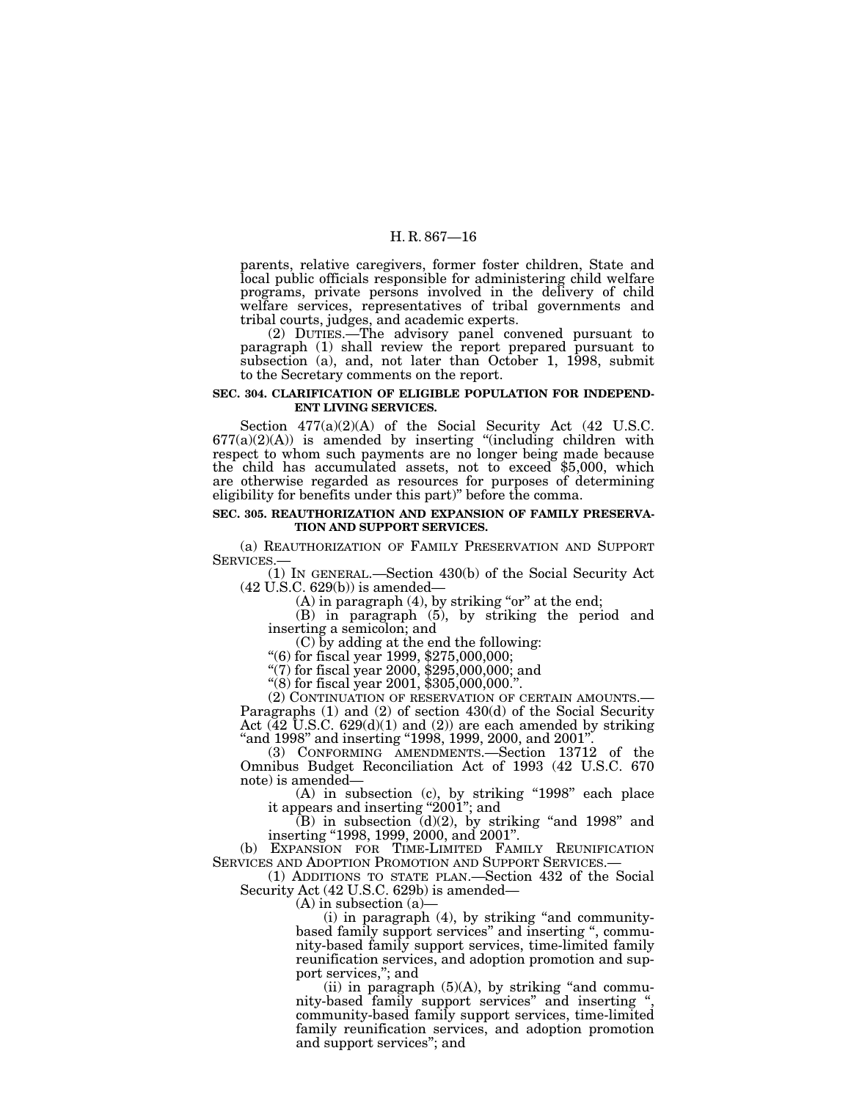parents, relative caregivers, former foster children, State and local public officials responsible for administering child welfare programs, private persons involved in the delivery of child welfare services, representatives of tribal governments and tribal courts, judges, and academic experts.

(2) DUTIES.—The advisory panel convened pursuant to paragraph (1) shall review the report prepared pursuant to subsection (a), and, not later than October 1, 1998, submit to the Secretary comments on the report.

#### **SEC. 304. CLARIFICATION OF ELIGIBLE POPULATION FOR INDEPEND-ENT LIVING SERVICES.**

Section 477(a)(2)(A) of the Social Security Act (42 U.S.C.  $677(a)(2)(A)$  is amended by inserting "(including children with respect to whom such payments are no longer being made because the child has accumulated assets, not to exceed \$5,000, which are otherwise regarded as resources for purposes of determining eligibility for benefits under this part)'' before the comma.

#### **SEC. 305. REAUTHORIZATION AND EXPANSION OF FAMILY PRESERVA-TION AND SUPPORT SERVICES.**

(a) REAUTHORIZATION OF FAMILY PRESERVATION AND SUPPORT SERVICES.

(1) IN GENERAL.—Section 430(b) of the Social Security Act (42 U.S.C. 629(b)) is amended—

 $(A)$  in paragraph  $(4)$ , by striking "or" at the end;

(B) in paragraph (5), by striking the period and inserting a semicolon; and<br>(C) by adding at the end the following:

(C) by adding at the end the following: ''(6) for fiscal year 1999, \$275,000,000;

''(7) for fiscal year 2000, \$295,000,000; and

''(8) for fiscal year 2001, \$305,000,000.''.

(2) CONTINUATION OF RESERVATION OF CERTAIN AMOUNTS.— Paragraphs (1) and (2) of section 430(d) of the Social Security Act (42 U.S.C. 629(d)(1) and (2)) are each amended by striking ''and 1998'' and inserting ''1998, 1999, 2000, and 2001''.

(3) CONFORMING AMENDMENTS.—Section 13712 of the Omnibus Budget Reconciliation Act of 1993 (42 U.S.C. 670 note) is amended—

(A) in subsection (c), by striking "1998" each place it appears and inserting "2001"; and

(B) in subsection (d)(2), by striking ''and 1998'' and inserting ''1998, 1999, 2000, and 2001''.

(b) EXPANSION FOR TIME-LIMITED FAMILY REUNIFICATION SERVICES AND ADOPTION PROMOTION AND SUPPORT SERVICES.

(1) ADDITIONS TO STATE PLAN.—Section 432 of the Social Security Act (42 U.S.C. 629b) is amended—

(A) in subsection (a)—

 $(i)$  in paragraph  $(4)$ , by striking "and communitybased family support services'' and inserting '', community-based family support services, time-limited family reunification services, and adoption promotion and support services,''; and

(ii) in paragraph  $(5)(A)$ , by striking "and community-based family support services" and inserting ' community-based family support services, time-limited family reunification services, and adoption promotion and support services''; and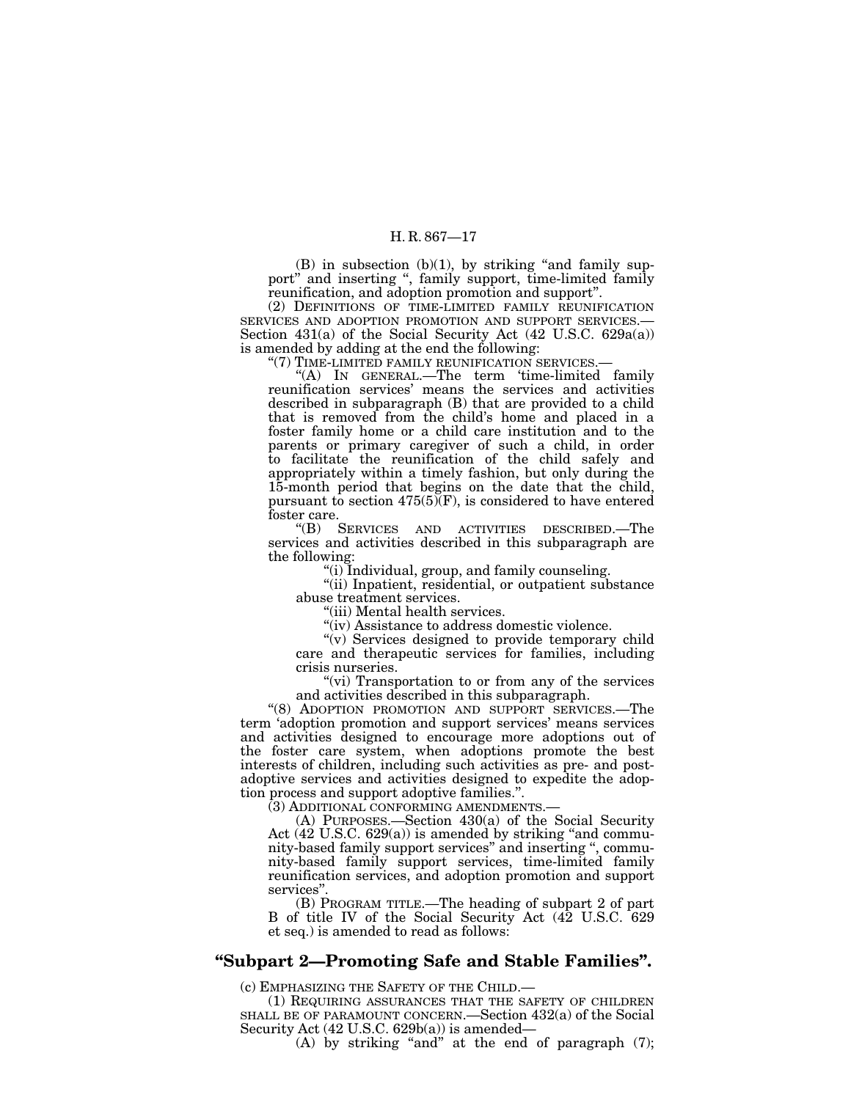$(B)$  in subsection  $(b)(1)$ , by striking "and family support'' and inserting '', family support, time-limited family reunification, and adoption promotion and support''.

(2) DEFINITIONS OF TIME-LIMITED FAMILY REUNIFICATION SERVICES AND ADOPTION PROMOTION AND SUPPORT SERVICES.— Section 431(a) of the Social Security Act (42 U.S.C. 629a(a)) is amended by adding at the end the following:

"(7) TIME-LIMITED FAMILY REUNIFICATION SERVICES.-

''(A) IN GENERAL.—The term 'time-limited family reunification services' means the services and activities described in subparagraph (B) that are provided to a child that is removed from the child's home and placed in a foster family home or a child care institution and to the parents or primary caregiver of such a child, in order to facilitate the reunification of the child safely and appropriately within a timely fashion, but only during the 15-month period that begins on the date that the child, pursuant to section  $475(5)$  $(F)$ , is considered to have entered foster care.

''(B) SERVICES AND ACTIVITIES DESCRIBED.—The services and activities described in this subparagraph are the following:

''(i) Individual, group, and family counseling.

"(ii) Inpatient, residential, or outpatient substance abuse treatment services.

''(iii) Mental health services.

"(iv) Assistance to address domestic violence.

''(v) Services designed to provide temporary child care and therapeutic services for families, including crisis nurseries.

"(vi) Transportation to or from any of the services and activities described in this subparagraph.

"(8) ADOPTION PROMOTION AND SUPPORT SERVICES.—The term 'adoption promotion and support services' means services and activities designed to encourage more adoptions out of the foster care system, when adoptions promote the best interests of children, including such activities as pre- and postadoptive services and activities designed to expedite the adoption process and support adoptive families.".<br>(3) ADDITIONAL CONFORMING AMENDMENTS.

(A) PURPOSES.—Section  $430(a)$  of the Social Security Act (42 U.S.C. 629(a)) is amended by striking "and community-based family support services'' and inserting '', community-based family support services, time-limited family reunification services, and adoption promotion and support services''.

(B) PROGRAM TITLE.—The heading of subpart 2 of part B of title IV of the Social Security Act (42 U.S.C. 629 et seq.) is amended to read as follows:

# **''Subpart 2—Promoting Safe and Stable Families''.**

(c) EMPHASIZING THE SAFETY OF THE CHILD.—

(1) REQUIRING ASSURANCES THAT THE SAFETY OF CHILDREN SHALL BE OF PARAMOUNT CONCERN.—Section 432(a) of the Social Security Act (42 U.S.C. 629b(a)) is amended—

(A) by striking "and" at the end of paragraph  $(7)$ ;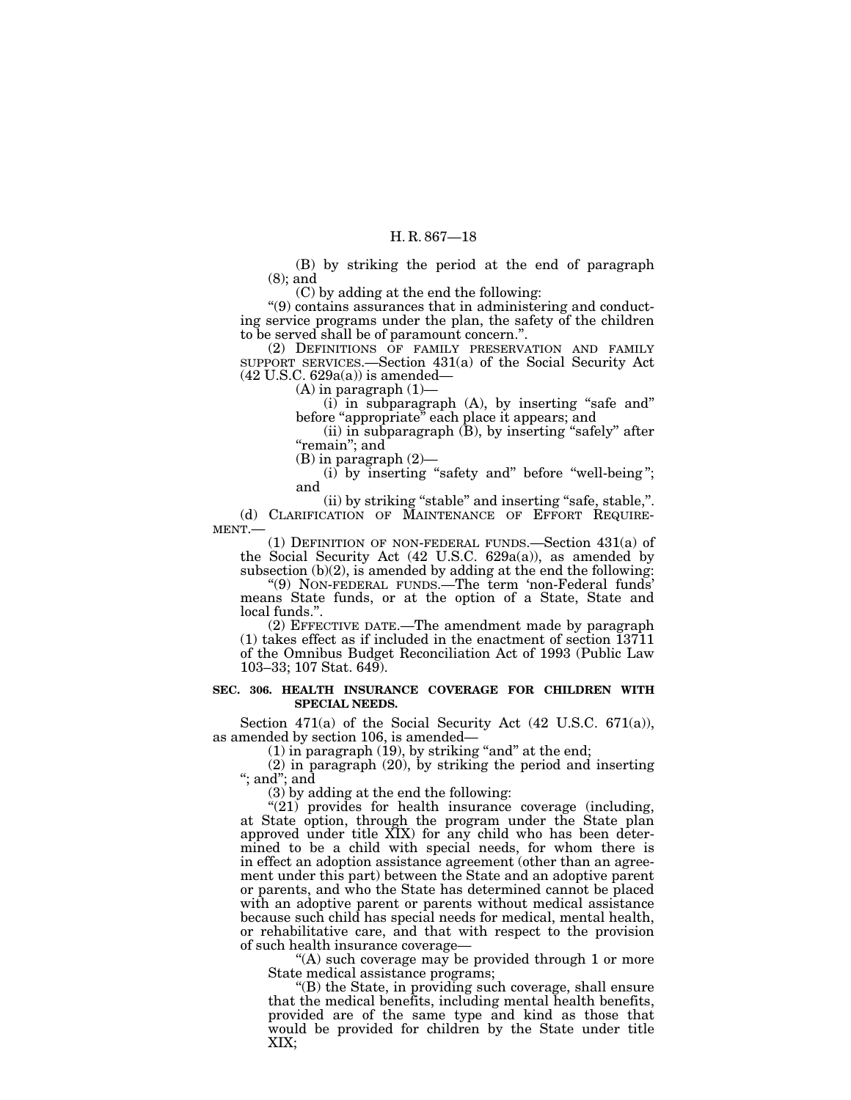(B) by striking the period at the end of paragraph (8); and

(C) by adding at the end the following:

''(9) contains assurances that in administering and conducting service programs under the plan, the safety of the children to be served shall be of paramount concern.''.

(2) DEFINITIONS OF FAMILY PRESERVATION AND FAMILY SUPPORT SERVICES.—Section 431(a) of the Social Security Act (42 U.S.C. 629a(a)) is amended—

 $(A)$  in paragraph  $(1)$ —

(i) in subparagraph (A), by inserting "safe and" before "appropriate" each place it appears; and

 $(ii)$  in subparagraph  $(B)$ , by inserting "safely" after "remain"; and

(B) in paragraph (2)—

(i) by inserting "safety and" before "well-being"; and

(ii) by striking "stable" and inserting "safe, stable,". (d) CLARIFICATION OF MAINTENANCE OF EFFORT REQUIRE-MENT.—

(1) DEFINITION OF NON-FEDERAL FUNDS.—Section 431(a) of the Social Security Act  $(42 \text{ U.S.C. } 629a(a))$ , as amended by subsection  $(b)(2)$ , is amended by adding at the end the following:

''(9) NON-FEDERAL FUNDS.—The term 'non-Federal funds' means State funds, or at the option of a State, State and local funds.''.

(2) EFFECTIVE DATE.—The amendment made by paragraph (1) takes effect as if included in the enactment of section 13711 of the Omnibus Budget Reconciliation Act of 1993 (Public Law 103–33; 107 Stat. 649).

### **SEC. 306. HEALTH INSURANCE COVERAGE FOR CHILDREN WITH SPECIAL NEEDS.**

Section 471(a) of the Social Security Act (42 U.S.C. 671(a)), as amended by section 106, is amended—

 $(1)$  in paragraph  $(19)$ , by striking "and" at the end;

(2) in paragraph (20), by striking the period and inserting ''; and''; and

(3) by adding at the end the following:

"(21) provides for health insurance coverage (including, at State option, through the program under the State plan approved under title XIX) for any child who has been determined to be a child with special needs, for whom there is in effect an adoption assistance agreement (other than an agreement under this part) between the State and an adoptive parent or parents, and who the State has determined cannot be placed with an adoptive parent or parents without medical assistance because such child has special needs for medical, mental health, or rehabilitative care, and that with respect to the provision of such health insurance coverage—

"(A) such coverage may be provided through 1 or more State medical assistance programs;

''(B) the State, in providing such coverage, shall ensure that the medical benefits, including mental health benefits, provided are of the same type and kind as those that would be provided for children by the State under title XIX;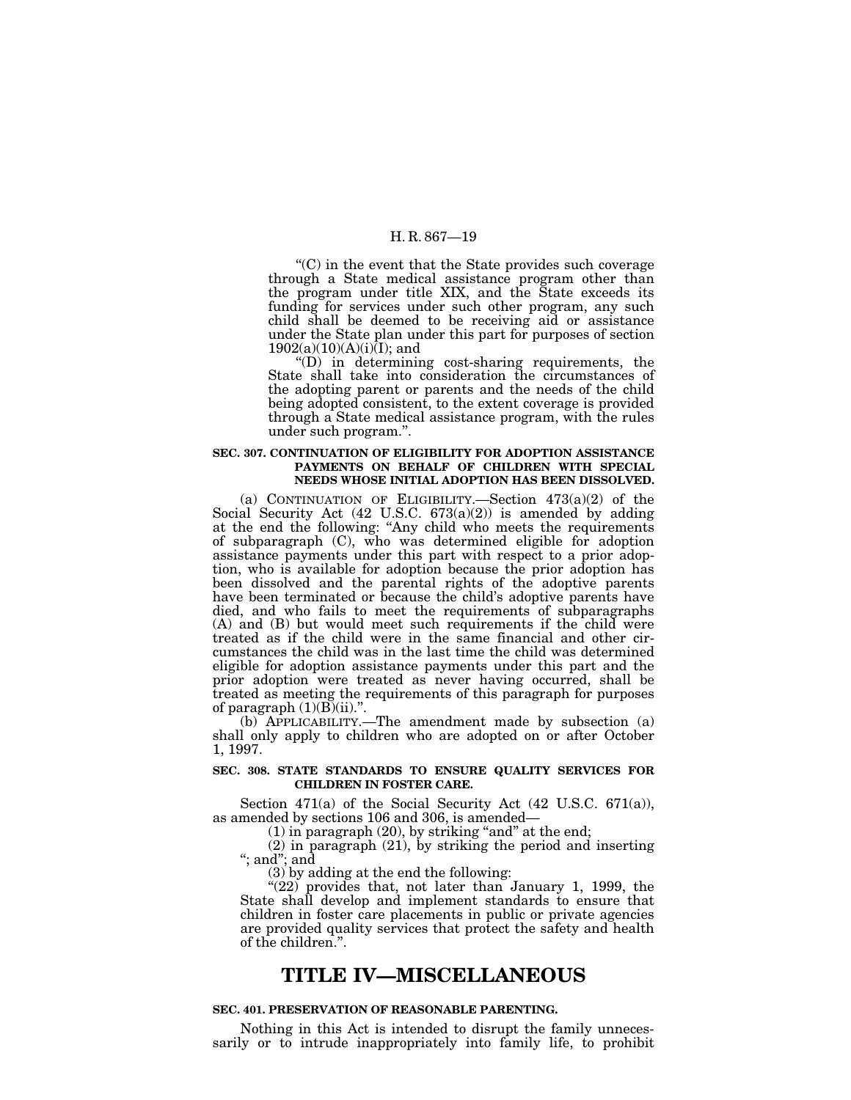''(C) in the event that the State provides such coverage through a State medical assistance program other than the program under title XIX, and the State exceeds its funding for services under such other program, any such child shall be deemed to be receiving aid or assistance under the State plan under this part for purposes of section  $1902(a)(10)(A)(i)(I);$  and

''(D) in determining cost-sharing requirements, the State shall take into consideration the circumstances of the adopting parent or parents and the needs of the child being adopted consistent, to the extent coverage is provided through a State medical assistance program, with the rules under such program.''.

#### **SEC. 307. CONTINUATION OF ELIGIBILITY FOR ADOPTION ASSISTANCE PAYMENTS ON BEHALF OF CHILDREN WITH SPECIAL NEEDS WHOSE INITIAL ADOPTION HAS BEEN DISSOLVED.**

(a) CONTINUATION OF ELIGIBILITY.—Section 473(a)(2) of the Social Security Act (42 U.S.C. 673(a)(2)) is amended by adding at the end the following: ''Any child who meets the requirements of subparagraph (C), who was determined eligible for adoption assistance payments under this part with respect to a prior adoption, who is available for adoption because the prior adoption has been dissolved and the parental rights of the adoptive parents have been terminated or because the child's adoptive parents have died, and who fails to meet the requirements of subparagraphs (A) and (B) but would meet such requirements if the child were treated as if the child were in the same financial and other circumstances the child was in the last time the child was determined eligible for adoption assistance payments under this part and the prior adoption were treated as never having occurred, shall be treated as meeting the requirements of this paragraph for purposes of paragraph  $(1)(\overline{B})(ii)$ .".

(b) APPLICABILITY.—The amendment made by subsection (a) shall only apply to children who are adopted on or after October 1, 1997.

# **SEC. 308. STATE STANDARDS TO ENSURE QUALITY SERVICES FOR CHILDREN IN FOSTER CARE.**

Section 471(a) of the Social Security Act  $(42 \text{ U.S.C. } 671(a))$ , as amended by sections 106 and 306, is amended—

 $(1)$  in paragraph  $(20)$ , by striking "and" at the end;

(2) in paragraph (21), by striking the period and inserting ''; and''; and

(3) by adding at the end the following:

"(22) provides that, not later than January 1, 1999, the State shall develop and implement standards to ensure that children in foster care placements in public or private agencies are provided quality services that protect the safety and health of the children.''.

# **TITLE IV—MISCELLANEOUS**

### **SEC. 401. PRESERVATION OF REASONABLE PARENTING.**

Nothing in this Act is intended to disrupt the family unnecessarily or to intrude inappropriately into family life, to prohibit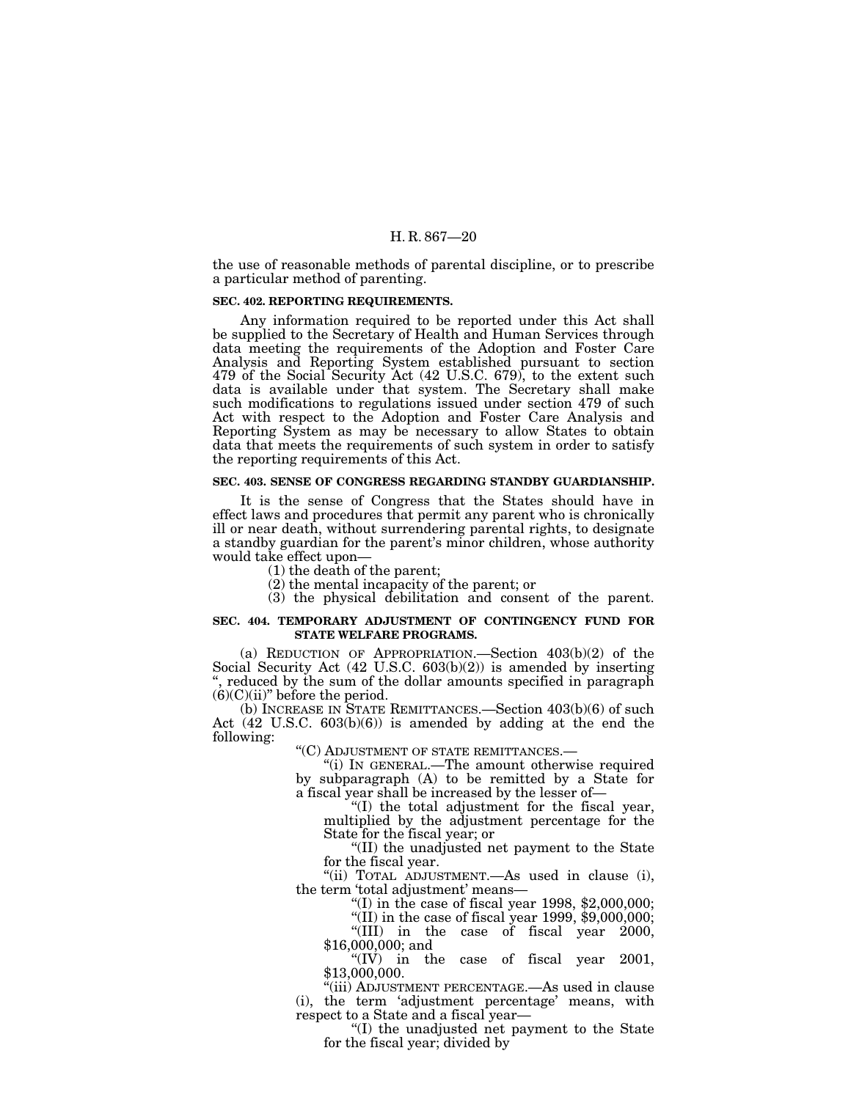the use of reasonable methods of parental discipline, or to prescribe a particular method of parenting.

#### **SEC. 402. REPORTING REQUIREMENTS.**

Any information required to be reported under this Act shall be supplied to the Secretary of Health and Human Services through data meeting the requirements of the Adoption and Foster Care Analysis and Reporting System established pursuant to section 479 of the Social Security Act (42 U.S.C. 679), to the extent such data is available under that system. The Secretary shall make such modifications to regulations issued under section 479 of such Act with respect to the Adoption and Foster Care Analysis and Reporting System as may be necessary to allow States to obtain data that meets the requirements of such system in order to satisfy the reporting requirements of this Act.

# **SEC. 403. SENSE OF CONGRESS REGARDING STANDBY GUARDIANSHIP.**

It is the sense of Congress that the States should have in effect laws and procedures that permit any parent who is chronically ill or near death, without surrendering parental rights, to designate a standby guardian for the parent's minor children, whose authority would take effect upon—

(1) the death of the parent;

(2) the mental incapacity of the parent; or

(3) the physical debilitation and consent of the parent.

#### **SEC. 404. TEMPORARY ADJUSTMENT OF CONTINGENCY FUND FOR STATE WELFARE PROGRAMS.**

(a) REDUCTION OF APPROPRIATION.—Section 403(b)(2) of the Social Security Act (42 U.S.C. 603(b)(2)) is amended by inserting '', reduced by the sum of the dollar amounts specified in paragraph  $(6)(C)(ii)$ " before the period.

(b) INCREASE IN STATE REMITTANCES.—Section 403(b)(6) of such Act (42 U.S.C. 603(b)(6)) is amended by adding at the end the following:

''(C) ADJUSTMENT OF STATE REMITTANCES.— ''(i) IN GENERAL.—The amount otherwise required by subparagraph (A) to be remitted by a State for a fiscal year shall be increased by the lesser of—

''(I) the total adjustment for the fiscal year, multiplied by the adjustment percentage for the State for the fiscal year; or

''(II) the unadjusted net payment to the State for the fiscal year.

''(ii) TOTAL ADJUSTMENT.—As used in clause (i), the term 'total adjustment' means—

"(I) in the case of fiscal year 1998,  $$2,000,000;$ 

"(II) in the case of fiscal year 1999,  $$9,000,000;$ ''(III) in the case of fiscal year 2000,

\$16,000,000; and

"(IV) in the case of fiscal year 2001, \$13,000,000.

''(iii) ADJUSTMENT PERCENTAGE.—As used in clause (i), the term 'adjustment percentage' means, with respect to a State and a fiscal year—

''(I) the unadjusted net payment to the State for the fiscal year; divided by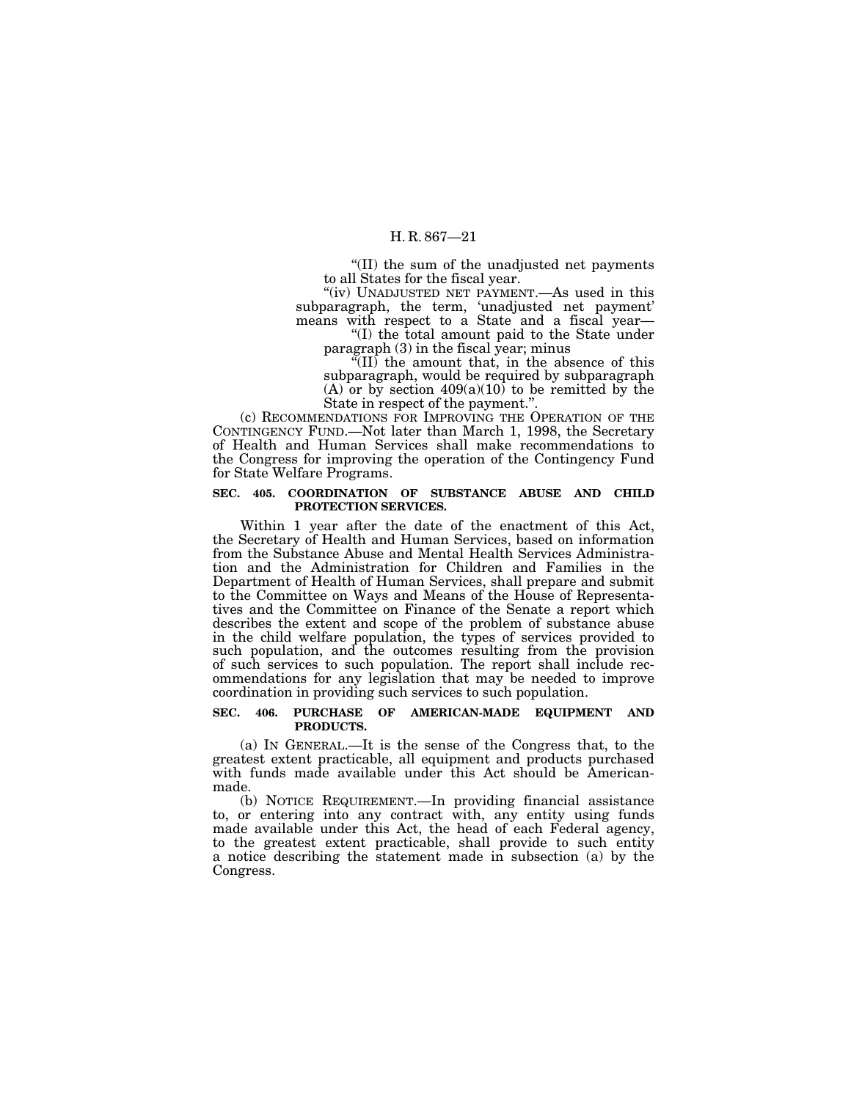''(II) the sum of the unadjusted net payments to all States for the fiscal year.

''(iv) UNADJUSTED NET PAYMENT.—As used in this subparagraph, the term, 'unadjusted net payment' means with respect to a State and a fiscal year—

''(I) the total amount paid to the State under paragraph (3) in the fiscal year; minus

 $\sqrt[\text{i}]{(II)}$  the amount that, in the absence of this subparagraph, would be required by subparagraph (A) or by section  $409(a)(10)$  to be remitted by the State in respect of the payment.''.

(c) RECOMMENDATIONS FOR IMPROVING THE OPERATION OF THE CONTINGENCY FUND.—Not later than March 1, 1998, the Secretary of Health and Human Services shall make recommendations to the Congress for improving the operation of the Contingency Fund for State Welfare Programs.

# **SEC. 405. COORDINATION OF SUBSTANCE ABUSE AND CHILD PROTECTION SERVICES.**

Within 1 year after the date of the enactment of this Act, the Secretary of Health and Human Services, based on information from the Substance Abuse and Mental Health Services Administration and the Administration for Children and Families in the Department of Health of Human Services, shall prepare and submit to the Committee on Ways and Means of the House of Representatives and the Committee on Finance of the Senate a report which describes the extent and scope of the problem of substance abuse in the child welfare population, the types of services provided to such population, and the outcomes resulting from the provision of such services to such population. The report shall include recommendations for any legislation that may be needed to improve coordination in providing such services to such population.

#### **SEC. 406. PURCHASE OF AMERICAN-MADE EQUIPMENT AND PRODUCTS.**

(a) IN GENERAL.—It is the sense of the Congress that, to the greatest extent practicable, all equipment and products purchased with funds made available under this Act should be Americanmade.

(b) NOTICE REQUIREMENT.—In providing financial assistance to, or entering into any contract with, any entity using funds made available under this Act, the head of each Federal agency, to the greatest extent practicable, shall provide to such entity a notice describing the statement made in subsection (a) by the Congress.